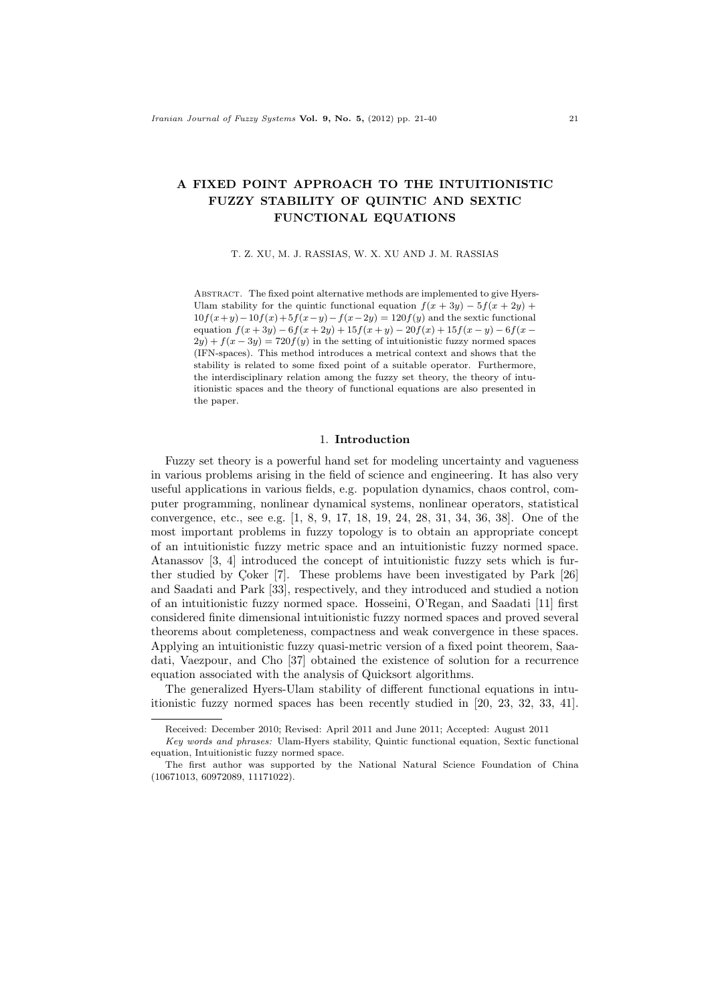# A FIXED POINT APPROACH TO THE INTUITIONISTIC FUZZY STABILITY OF QUINTIC AND SEXTIC FUNCTIONAL EQUATIONS

T. Z. XU, M. J. RASSIAS, W. X. XU AND J. M. RASSIAS

ABSTRACT. The fixed point alternative methods are implemented to give Hyers-Ulam stability for the quintic functional equation  $f(x + 3y) - 5f(x + 2y) +$  $10f(x+y)-10f(x)+5f(x-y)-f(x-2y)=120f(y)$  and the sextic functional equation  $f(x+3y) - 6f(x+2y) + 15f(x+y) - 20f(x) + 15f(x-y) - 6f(x-y)$  $2y$ ) +  $f(x - 3y) = 720f(y)$  in the setting of intuitionistic fuzzy normed spaces (IFN-spaces). This method introduces a metrical context and shows that the stability is related to some fixed point of a suitable operator. Furthermore, the interdisciplinary relation among the fuzzy set theory, the theory of intuitionistic spaces and the theory of functional equations are also presented in the paper.

#### 1. Introduction

Fuzzy set theory is a powerful hand set for modeling uncertainty and vagueness in various problems arising in the field of science and engineering. It has also very useful applications in various fields, e.g. population dynamics, chaos control, computer programming, nonlinear dynamical systems, nonlinear operators, statistical convergence, etc., see e.g. [1, 8, 9, 17, 18, 19, 24, 28, 31, 34, 36, 38]. One of the most important problems in fuzzy topology is to obtain an appropriate concept of an intuitionistic fuzzy metric space and an intuitionistic fuzzy normed space. Atanassov [3, 4] introduced the concept of intuitionistic fuzzy sets which is further studied by Coker  $[7]$ . These problems have been investigated by Park  $[26]$ and Saadati and Park [33], respectively, and they introduced and studied a notion of an intuitionistic fuzzy normed space. Hosseini, O'Regan, and Saadati [11] first considered finite dimensional intuitionistic fuzzy normed spaces and proved several theorems about completeness, compactness and weak convergence in these spaces. Applying an intuitionistic fuzzy quasi-metric version of a fixed point theorem, Saadati, Vaezpour, and Cho [37] obtained the existence of solution for a recurrence equation associated with the analysis of Quicksort algorithms.

The generalized Hyers-Ulam stability of different functional equations in intuitionistic fuzzy normed spaces has been recently studied in [20, 23, 32, 33, 41].

Received: December 2010; Revised: April 2011 and June 2011; Accepted: August 2011

Key words and phrases: Ulam-Hyers stability, Quintic functional equation, Sextic functional equation, Intuitionistic fuzzy normed space.

The first author was supported by the National Natural Science Foundation of China (10671013, 60972089, 11171022).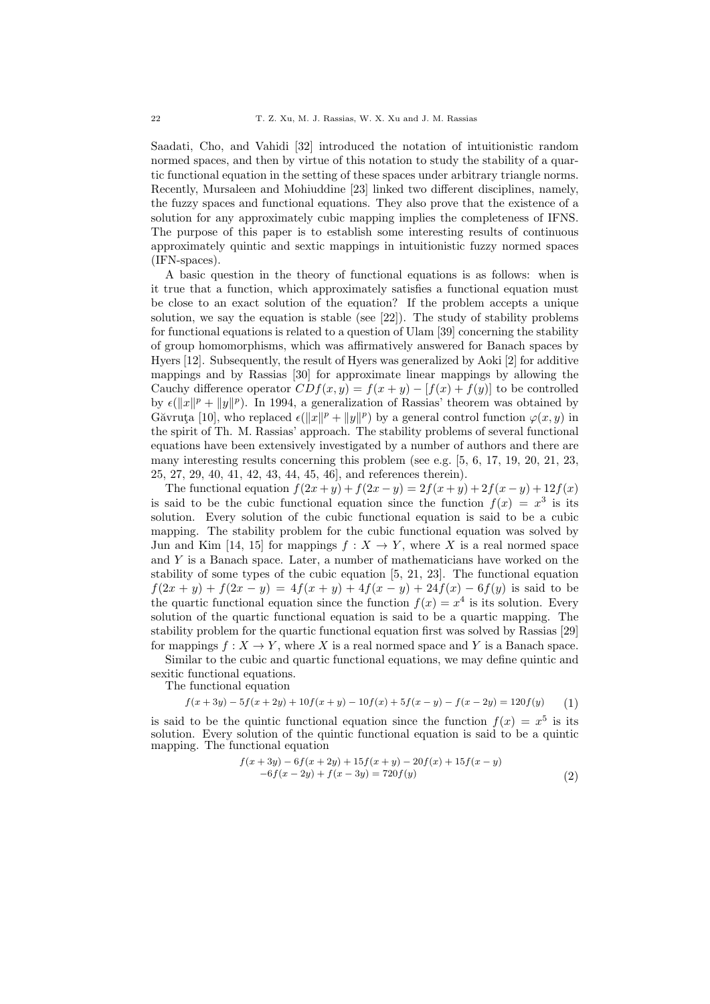Saadati, Cho, and Vahidi [32] introduced the notation of intuitionistic random normed spaces, and then by virtue of this notation to study the stability of a quartic functional equation in the setting of these spaces under arbitrary triangle norms. Recently, Mursaleen and Mohiuddine [23] linked two different disciplines, namely, the fuzzy spaces and functional equations. They also prove that the existence of a solution for any approximately cubic mapping implies the completeness of IFNS. The purpose of this paper is to establish some interesting results of continuous approximately quintic and sextic mappings in intuitionistic fuzzy normed spaces (IFN-spaces).

A basic question in the theory of functional equations is as follows: when is it true that a function, which approximately satisfies a functional equation must be close to an exact solution of the equation? If the problem accepts a unique solution, we say the equation is stable (see [22]). The study of stability problems for functional equations is related to a question of Ulam [39] concerning the stability of group homomorphisms, which was affirmatively answered for Banach spaces by Hyers [12]. Subsequently, the result of Hyers was generalized by Aoki [2] for additive mappings and by Rassias [30] for approximate linear mappings by allowing the Cauchy difference operator  $CDf(x, y) = f(x + y) - [f(x) + f(y)]$  to be controlled by  $\epsilon(\|x\|^p + \|y\|^p)$ . In 1994, a generalization of Rassias' theorem was obtained by Găvruța [10], who replaced  $\epsilon(\|x\|^p + \|y\|^p)$  by a general control function  $\varphi(x, y)$  in the spirit of Th. M. Rassias' approach. The stability problems of several functional equations have been extensively investigated by a number of authors and there are many interesting results concerning this problem (see e.g. [5, 6, 17, 19, 20, 21, 23, 25, 27, 29, 40, 41, 42, 43, 44, 45, 46], and references therein).

The functional equation  $f(2x + y) + f(2x - y) = 2f(x + y) + 2f(x - y) + 12f(x)$ is said to be the cubic functional equation since the function  $f(x) = x^3$  is its solution. Every solution of the cubic functional equation is said to be a cubic mapping. The stability problem for the cubic functional equation was solved by Jun and Kim [14, 15] for mappings  $f: X \to Y$ , where X is a real normed space and  $Y$  is a Banach space. Later, a number of mathematicians have worked on the stability of some types of the cubic equation [5, 21, 23]. The functional equation  $f(2x + y) + f(2x - y) = 4f(x + y) + 4f(x - y) + 24f(x) - 6f(y)$  is said to be the quartic functional equation since the function  $f(x) = x^4$  is its solution. Every solution of the quartic functional equation is said to be a quartic mapping. The stability problem for the quartic functional equation first was solved by Rassias [29] for mappings  $f: X \to Y$ , where X is a real normed space and Y is a Banach space.

Similar to the cubic and quartic functional equations, we may define quintic and sexitic functional equations.

The functional equation

$$
f(x+3y) - 5f(x+2y) + 10f(x+y) - 10f(x) + 5f(x-y) - f(x-2y) = 120f(y)
$$
 (1)

is said to be the quintic functional equation since the function  $f(x) = x^5$  is its solution. Every solution of the quintic functional equation is said to be a quintic mapping. The functional equation

$$
f(x+3y) - 6f(x+2y) + 15f(x+y) - 20f(x) + 15f(x-y)
$$
  
-6f(x-2y) + f(x-3y) = 720f(y) (2)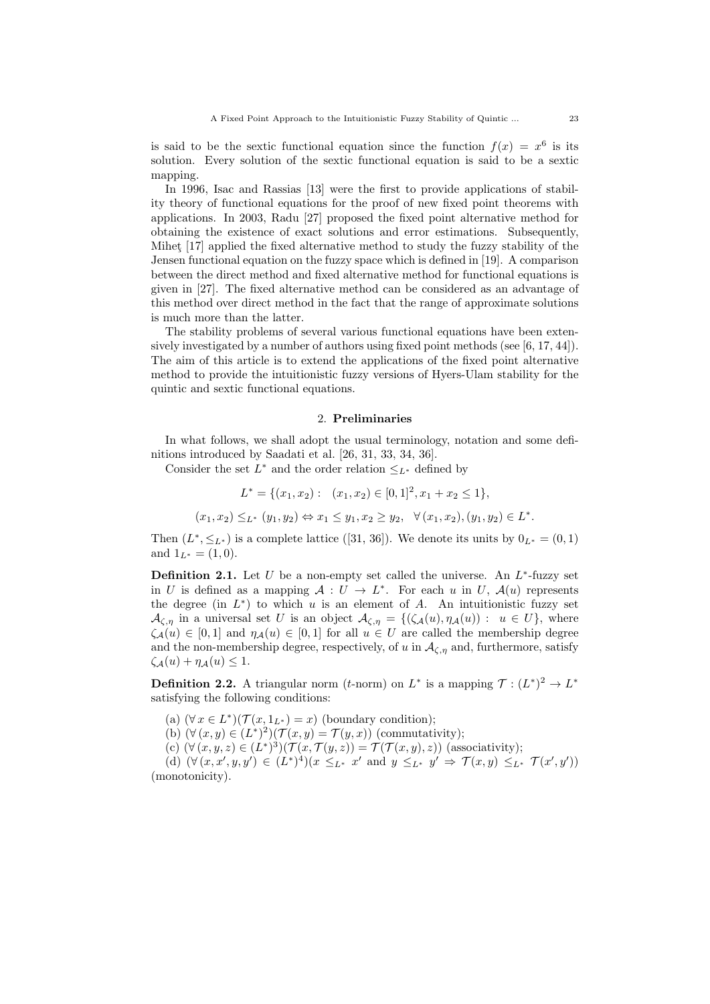is said to be the sextic functional equation since the function  $f(x) = x^6$  is its solution. Every solution of the sextic functional equation is said to be a sextic mapping.

In 1996, Isac and Rassias [13] were the first to provide applications of stability theory of functional equations for the proof of new fixed point theorems with applications. In 2003, Radu [27] proposed the fixed point alternative method for obtaining the existence of exact solutions and error estimations. Subsequently, Mihet [17] applied the fixed alternative method to study the fuzzy stability of the Jensen functional equation on the fuzzy space which is defined in [19]. A comparison between the direct method and fixed alternative method for functional equations is given in [27]. The fixed alternative method can be considered as an advantage of this method over direct method in the fact that the range of approximate solutions is much more than the latter.

The stability problems of several various functional equations have been extensively investigated by a number of authors using fixed point methods (see [6, 17, 44]). The aim of this article is to extend the applications of the fixed point alternative method to provide the intuitionistic fuzzy versions of Hyers-Ulam stability for the quintic and sextic functional equations.

#### 2. Preliminaries

In what follows, we shall adopt the usual terminology, notation and some definitions introduced by Saadati et al. [26, 31, 33, 34, 36].

Consider the set  $L^*$  and the order relation  $\leq_{L^*}$  defined by

$$
L^* = \{(x_1, x_2) : (x_1, x_2) \in [0, 1]^2, x_1 + x_2 \le 1\},\
$$

$$
(x_1, x_2) \leq_{L^*} (y_1, y_2) \Leftrightarrow x_1 \leq y_1, x_2 \geq y_2, \quad \forall (x_1, x_2), (y_1, y_2) \in L^*.
$$

Then  $(L^*, \leq_{L^*})$  is a complete lattice ([31, 36]). We denote its units by  $0_{L^*} = (0, 1)$ and  $1_{L^*} = (1,0)$ .

**Definition 2.1.** Let  $U$  be a non-empty set called the universe. An  $L^*$ -fuzzy set in U is defined as a mapping  $A: U \to L^*$ . For each u in U,  $A(u)$  represents the degree (in  $L^*$ ) to which u is an element of A. An intuitionistic fuzzy set  $\mathcal{A}_{\zeta,\eta}$  in a universal set U is an object  $\mathcal{A}_{\zeta,\eta} = \{(\zeta_{\mathcal{A}}(u), \eta_{\mathcal{A}}(u)) : u \in U\}$ , where  $\zeta_{\mathcal{A}}(u) \in [0,1]$  and  $\eta_{\mathcal{A}}(u) \in [0,1]$  for all  $u \in U$  are called the membership degree and the non-membership degree, respectively, of u in  $A_{\zeta,\eta}$  and, furthermore, satisfy  $\zeta_A(u) + \eta_A(u) \leq 1.$ 

**Definition 2.2.** A triangular norm (*t*-norm) on  $L^*$  is a mapping  $\mathcal{T} : (L^*)^2 \to L^*$ satisfying the following conditions:

- (a)  $(\forall x \in L^*)(\mathcal{T}(x, 1_{L^*}) = x)$  (boundary condition);
- (b)  $(\forall (x, y) \in (L^*)^2)(\mathcal{T}(x, y) = \mathcal{T}(y, x))$  (commutativity);

(c)  $(\forall (x, y, z) \in (L^*)^3)(\mathcal{T}(x, \mathcal{T}(y, z)) = \mathcal{T}(\mathcal{T}(x, y), z))$  (associativity);

(d)  $(\forall (x, x', y, y') \in (L^*)^4)(x \leq_{L^*} x' \text{ and } y \leq_{L^*} y' \Rightarrow \mathcal{T}(x, y) \leq_{L^*} \mathcal{T}(x', y'))$ (monotonicity).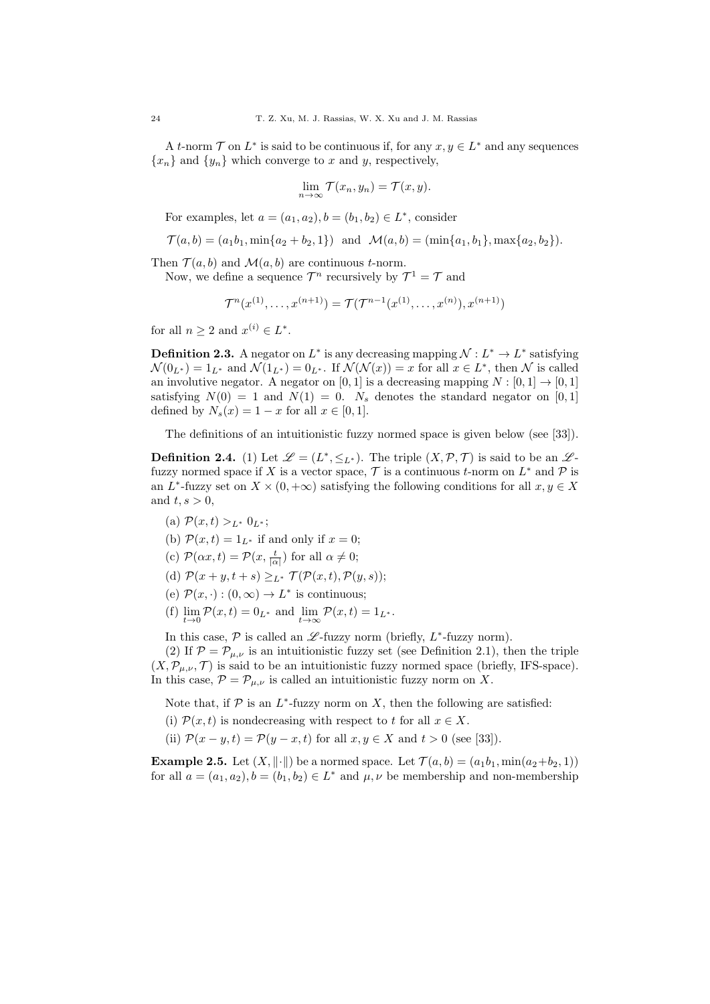A t-norm  $\mathcal T$  on  $L^*$  is said to be continuous if, for any  $x, y \in L^*$  and any sequences  ${x_n}$  and  ${y_n}$  which converge to x and y, respectively,

$$
\lim_{n \to \infty} \mathcal{T}(x_n, y_n) = \mathcal{T}(x, y).
$$

For examples, let  $a = (a_1, a_2), b = (b_1, b_2) \in L^*$ , consider

$$
\mathcal{T}(a,b) = (a_1b_1, \min\{a_2 + b_2, 1\}) \text{ and } \mathcal{M}(a,b) = (\min\{a_1, b_1\}, \max\{a_2, b_2\}).
$$

Then  $\mathcal{T}(a, b)$  and  $\mathcal{M}(a, b)$  are continuous *t*-norm.

Now, we define a sequence  $\mathcal{T}^n$  recursively by  $\mathcal{T}^1 = \mathcal{T}$  and

$$
\mathcal{T}^n(x^{(1)},\ldots,x^{(n+1)}) = \mathcal{T}(\mathcal{T}^{n-1}(x^{(1)},\ldots,x^{(n)}),x^{(n+1)})
$$

for all  $n \geq 2$  and  $x^{(i)} \in L^*$ .

**Definition 2.3.** A negator on  $L^*$  is any decreasing mapping  $\mathcal{N}: L^* \to L^*$  satisfying  $\mathcal{N}(0_{L^*}) = 1_{L^*}$  and  $\mathcal{N}(1_{L^*}) = 0_{L^*}$ . If  $\mathcal{N}(\mathcal{N}(x)) = x$  for all  $x \in L^*$ , then  $\mathcal N$  is called an involutive negator. A negator on [0, 1] is a decreasing mapping  $N : [0, 1] \rightarrow [0, 1]$ satisfying  $N(0) = 1$  and  $N(1) = 0$ .  $N_s$  denotes the standard negator on [0, 1] defined by  $N_s(x) = 1 - x$  for all  $x \in [0, 1]$ .

The definitions of an intuitionistic fuzzy normed space is given below (see [33]).

**Definition 2.4.** (1) Let  $\mathscr{L} = (L^*, \leq_{L^*})$ . The triple  $(X, \mathcal{P}, \mathcal{T})$  is said to be an  $\mathscr{L}$ fuzzy normed space if X is a vector space,  $\mathcal T$  is a continuous t-norm on  $L^*$  and  $\mathcal P$  is an L<sup>\*</sup>-fuzzy set on  $X \times (0, +\infty)$  satisfying the following conditions for all  $x, y \in X$ and  $t, s > 0$ ,

- (a)  $\mathcal{P}(x,t) >_{L^*} 0_{L^*};$
- (b)  $\mathcal{P}(x,t) = 1_{L^*}$  if and only if  $x = 0$ ;
- (c)  $\mathcal{P}(\alpha x,t) = \mathcal{P}(x, \frac{t}{|\alpha|})$  for all  $\alpha \neq 0$ ;
- (d)  $\mathcal{P}(x+y,t+s) \geq_{L^*} \mathcal{T}(\mathcal{P}(x,t),\mathcal{P}(y,s));$
- (e)  $\mathcal{P}(x, \cdot) : (0, \infty) \to L^*$  is continuous;
- (f)  $\lim_{t \to 0} \mathcal{P}(x, t) = 0_{L^*}$  and  $\lim_{t \to \infty} \mathcal{P}(x, t) = 1_{L^*}.$

In this case,  $P$  is called an  $\mathscr{L}$ -fuzzy norm (briefly,  $L^*$ -fuzzy norm).

(2) If  $\mathcal{P} = \mathcal{P}_{\mu,\nu}$  is an intuitionistic fuzzy set (see Definition 2.1), then the triple  $(X, \mathcal{P}_{\mu,\nu}, \mathcal{T})$  is said to be an intuitionistic fuzzy normed space (briefly, IFS-space). In this case,  $\mathcal{P} = \mathcal{P}_{\mu,\nu}$  is called an intuitionistic fuzzy norm on X.

Note that, if  $P$  is an  $L^*$ -fuzzy norm on X, then the following are satisfied:

- (i)  $\mathcal{P}(x,t)$  is nondecreasing with respect to t for all  $x \in X$ .
- (ii)  $\mathcal{P}(x-y,t) = \mathcal{P}(y-x,t)$  for all  $x, y \in X$  and  $t > 0$  (see [33]).

**Example 2.5.** Let  $(X, \|\cdot\|)$  be a normed space. Let  $\mathcal{T}(a, b) = (a_1b_1, \min(a_2+b_2, 1))$ for all  $a = (a_1, a_2), b = (b_1, b_2) \in L^*$  and  $\mu, \nu$  be membership and non-membership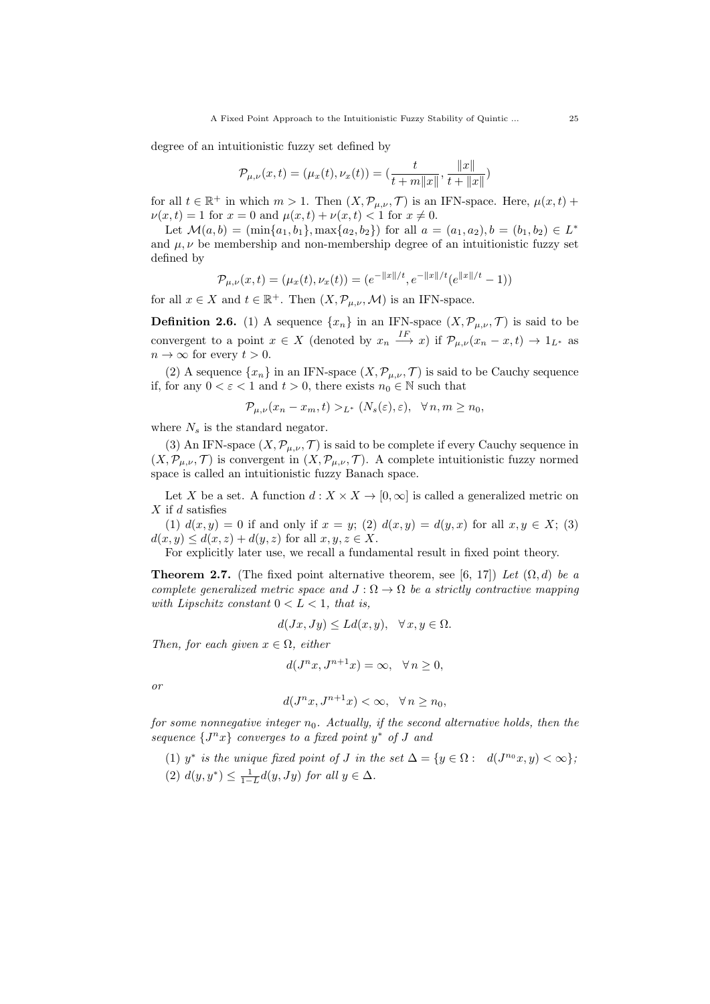degree of an intuitionistic fuzzy set defined by

$$
\mathcal{P}_{\mu,\nu}(x,t) = (\mu_x(t), \nu_x(t)) = (\frac{t}{t+m||x||}, \frac{||x||}{t+||x||})
$$

for all  $t \in \mathbb{R}^+$  in which  $m > 1$ . Then  $(X, \mathcal{P}_{\mu,\nu}, \mathcal{T})$  is an IFN-space. Here,  $\mu(x, t)$  +  $\nu(x, t) = 1$  for  $x = 0$  and  $\mu(x, t) + \nu(x, t) < 1$  for  $x \neq 0$ .

Let  $\mathcal{M}(a, b) = (\min\{a_1, b_1\}, \max\{a_2, b_2\})$  for all  $a = (a_1, a_2), b = (b_1, b_2) \in L^*$ and  $\mu, \nu$  be membership and non-membership degree of an intuitionistic fuzzy set defined by

$$
\mathcal{P}_{\mu,\nu}(x,t) = (\mu_x(t), \nu_x(t)) = (e^{-\|x\|/t}, e^{-\|x\|/t}(e^{\|x\|/t} - 1))
$$

for all  $x \in X$  and  $t \in \mathbb{R}^+$ . Then  $(X, \mathcal{P}_{\mu,\nu}, \mathcal{M})$  is an IFN-space.

**Definition 2.6.** (1) A sequence  $\{x_n\}$  in an IFN-space  $(X, \mathcal{P}_{\mu,\nu}, \mathcal{T})$  is said to be convergent to a point  $x \in X$  (denoted by  $x_n \stackrel{IF}{\longrightarrow} x$ ) if  $\mathcal{P}_{\mu,\nu}(x_n-x,t) \to 1_{L^*}$  as  $n \to \infty$  for every  $t > 0$ .

(2) A sequence  $\{x_n\}$  in an IFN-space  $(X, \mathcal{P}_{\mu,\nu}, \mathcal{T})$  is said to be Cauchy sequence if, for any  $0 < \varepsilon < 1$  and  $t > 0$ , there exists  $n_0 \in \mathbb{N}$  such that

$$
\mathcal{P}_{\mu,\nu}(x_n - x_m, t) >_{L^*} (N_s(\varepsilon), \varepsilon), \quad \forall \, n, m \ge n_0,
$$

where  $N_s$  is the standard negator.

(3) An IFN-space  $(X, \mathcal{P}_{\mu,\nu}, \mathcal{T})$  is said to be complete if every Cauchy sequence in  $(X, \mathcal{P}_{\mu,\nu}, \mathcal{T})$  is convergent in  $(X, \mathcal{P}_{\mu,\nu}, \mathcal{T})$ . A complete intuitionistic fuzzy normed space is called an intuitionistic fuzzy Banach space.

Let X be a set. A function  $d: X \times X \to [0, \infty]$  is called a generalized metric on  $X$  if  $d$  satisfies

(1)  $d(x, y) = 0$  if and only if  $x = y$ ; (2)  $d(x, y) = d(y, x)$  for all  $x, y \in X$ ; (3)  $d(x, y) \leq d(x, z) + d(y, z)$  for all  $x, y, z \in X$ .

For explicitly later use, we recall a fundamental result in fixed point theory.

**Theorem 2.7.** (The fixed point alternative theorem, see [6, 17]) Let  $(\Omega, d)$  be a complete generalized metric space and  $J : \Omega \to \Omega$  be a strictly contractive mapping with Lipschitz constant  $0 < L < 1$ , that is,

$$
d(Jx, Jy) \le Ld(x, y), \quad \forall x, y \in \Omega.
$$

Then, for each given  $x \in \Omega$ , either

$$
d(J^n x, J^{n+1} x) = \infty, \quad \forall n \ge 0,
$$

or

$$
d(J^n x, J^{n+1} x) < \infty, \quad \forall n \ge n_0,
$$

for some nonnegative integer  $n_0$ . Actually, if the second alternative holds, then the sequence  $\{J^nx\}$  converges to a fixed point  $y^*$  of J and

(1) y<sup>\*</sup> is the unique fixed point of J in the set  $\Delta = \{y \in \Omega : d(J^{n_0}x, y) < \infty\},\$ (2)  $d(y, y^*) \leq \frac{1}{1-L} d(y, Jy)$  for all  $y \in \Delta$ .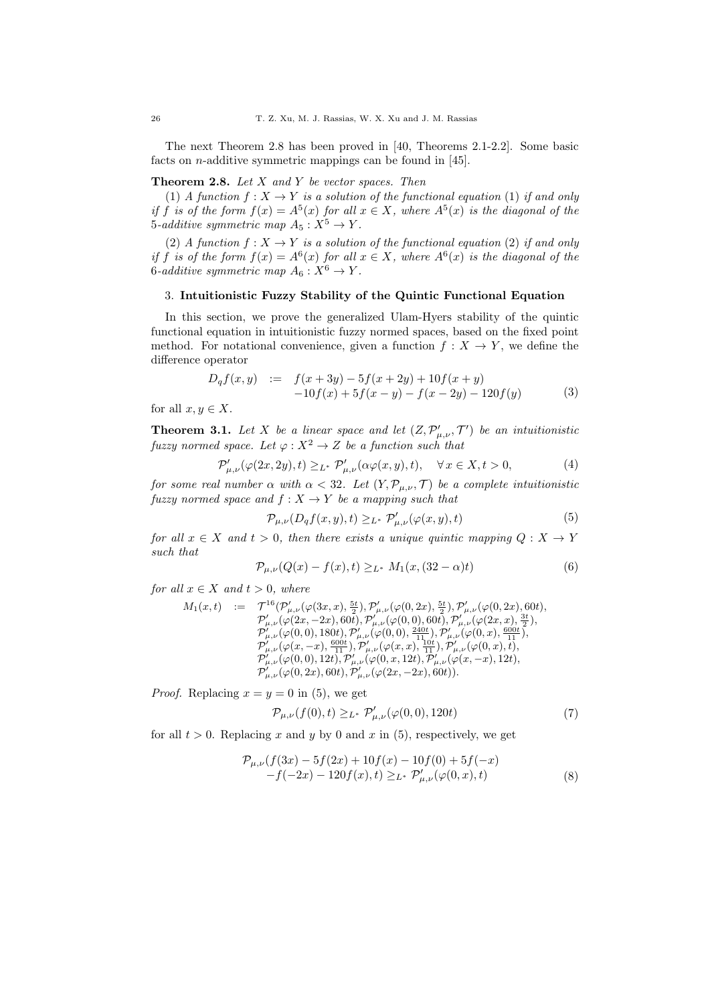The next Theorem 2.8 has been proved in [40, Theorems 2.1-2.2]. Some basic facts on n-additive symmetric mappings can be found in [45].

## **Theorem 2.8.** Let  $X$  and  $Y$  be vector spaces. Then

(1) A function  $f: X \to Y$  is a solution of the functional equation (1) if and only if f is of the form  $f(x) = A^5(x)$  for all  $x \in X$ , where  $A^5(x)$  is the diagonal of the 5-additive symmetric map  $A_5: X^5 \to Y$ .

(2) A function  $f: X \to Y$  is a solution of the functional equation (2) if and only if f is of the form  $f(x) = A^6(x)$  for all  $x \in X$ , where  $A^6(x)$  is the diagonal of the 6-additive symmetric map  $A_6: X^6 \to Y$ .

## 3. Intuitionistic Fuzzy Stability of the Quintic Functional Equation

In this section, we prove the generalized Ulam-Hyers stability of the quintic functional equation in intuitionistic fuzzy normed spaces, based on the fixed point method. For notational convenience, given a function  $f : X \to Y$ , we define the difference operator

$$
D_q f(x, y) := f(x + 3y) - 5f(x + 2y) + 10f(x + y)
$$
  
-10f(x) + 5f(x - y) - f(x - 2y) - 120f(y) (3)

for all  $x, y \in X$ .

**Theorem 3.1.** Let X be a linear space and let  $(Z, \mathcal{P}'_{\mu,\nu}, \mathcal{T}')$  be an intuitionistic fuzzy normed space. Let  $\varphi: X^2 \to Z$  be a function such that

$$
\mathcal{P}'_{\mu,\nu}(\varphi(2x,2y),t) \geq_{L^*} \mathcal{P}'_{\mu,\nu}(\alpha\varphi(x,y),t), \quad \forall x \in X, t > 0,
$$
\n<sup>(4)</sup>

for some real number  $\alpha$  with  $\alpha < 32$ . Let  $(Y, \mathcal{P}_{\mu,\nu}, \mathcal{T})$  be a complete intuitionistic fuzzy normed space and  $f: X \to Y$  be a mapping such that

$$
\mathcal{P}_{\mu,\nu}(D_q f(x,y),t) \geq_{L^*} \mathcal{P}'_{\mu,\nu}(\varphi(x,y),t) \tag{5}
$$

for all  $x \in X$  and  $t > 0$ , then there exists a unique quintic mapping  $Q: X \to Y$ such that

$$
\mathcal{P}_{\mu,\nu}(Q(x) - f(x),t) \geq_{L^*} M_1(x,(32 - \alpha)t)
$$
\n(6)

for all  $x \in X$  and  $t > 0$ , where

$$
M_1(x,t) := \n\begin{array}{lll}\nT^{16}(\mathcal{P}'_{\mu,\nu}(\varphi(3x,x),\frac{5t}{2}),\mathcal{P}'_{\mu,\nu}(\varphi(0,2x),\frac{5t}{2}),\mathcal{P}'_{\mu,\nu}(\varphi(0,2x),60t), \\
\mathcal{P}'_{\mu,\nu}(\varphi(2x,-2x),60t),\mathcal{P}'_{\mu,\nu}(\varphi(0,0),60t),\mathcal{P}'_{\mu,\nu}(\varphi(2x,x),\frac{3t}{2}), \\
\mathcal{P}'_{\mu,\nu}(\varphi(0,0),180t),\mathcal{P}'_{\mu,\nu}(\varphi(0,0),\frac{240t}{11}),\mathcal{P}'_{\mu,\nu}(\varphi(0,x),\frac{600t}{11}), \\
\mathcal{P}'_{\mu,\nu}(\varphi(x,-x),\frac{600t}{11}),\mathcal{P}'_{\mu,\nu}(\varphi(x,x),\frac{10t}{11}),\mathcal{P}'_{\mu,\nu}(\varphi(0,x),t), \\
\mathcal{P}'_{\mu,\nu}(\varphi(0,0),12t),\mathcal{P}'_{\mu,\nu}(\varphi(0,x,12t),\mathcal{P}'_{\mu,\nu}(\varphi(x,-x),12t), \\
\mathcal{P}'_{\mu,\nu}(\varphi(0,2x),60t),\mathcal{P}'_{\mu,\nu}(\varphi(2x,-2x),60t)).\n\end{array}
$$

*Proof.* Replacing  $x = y = 0$  in (5), we get

$$
\mathcal{P}_{\mu,\nu}(f(0),t) \geq_{L^*} \mathcal{P}'_{\mu,\nu}(\varphi(0,0),120t) \tag{7}
$$

for all  $t > 0$ . Replacing x and y by 0 and x in (5), respectively, we get

$$
\mathcal{P}_{\mu,\nu}(f(3x) - 5f(2x) + 10f(x) - 10f(0) + 5f(-x) \n-f(-2x) - 120f(x), t) \geq_{L^*} \mathcal{P}'_{\mu,\nu}(\varphi(0,x), t)
$$
\n(8)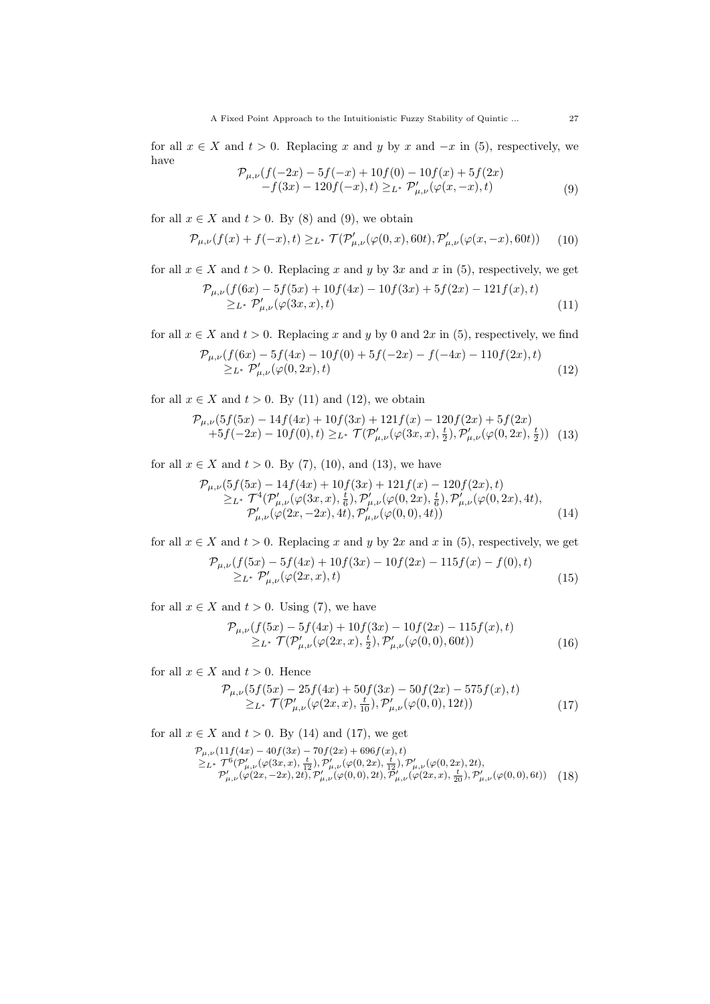for all  $x \in X$  and  $t > 0$ . Replacing x and y by x and  $-x$  in (5), respectively, we have

$$
\mathcal{P}_{\mu,\nu}(f(-2x) - 5f(-x) + 10f(0) - 10f(x) + 5f(2x)-f(3x) - 120f(-x), t) \geq_{L^*} \mathcal{P}'_{\mu,\nu}(\varphi(x,-x),t)
$$
\n(9)

for all  $x \in X$  and  $t > 0$ . By (8) and (9), we obtain

$$
\mathcal{P}_{\mu,\nu}(f(x) + f(-x),t) \geq_{L^*} \mathcal{T}(\mathcal{P}'_{\mu,\nu}(\varphi(0,x), 60t), \mathcal{P}'_{\mu,\nu}(\varphi(x,-x), 60t)) \tag{10}
$$

for all  $x \in X$  and  $t > 0$ . Replacing x and y by 3x and x in (5), respectively, we get

$$
\mathcal{P}_{\mu,\nu}(f(6x) - 5f(5x) + 10f(4x) - 10f(3x) + 5f(2x) - 121f(x), t)
$$
  
\n
$$
\geq_{L^*} \mathcal{P}'_{\mu,\nu}(\varphi(3x,x), t)
$$
\n(11)

for all  $x \in X$  and  $t > 0$ . Replacing x and y by 0 and 2x in (5), respectively, we find

$$
\mathcal{P}_{\mu,\nu}(f(6x) - 5f(4x) - 10f(0) + 5f(-2x) - f(-4x) - 110f(2x), t)
$$
  
\n
$$
\geq_{L^*} \mathcal{P}'_{\mu,\nu}(\varphi(0,2x), t)
$$
\n(12)

for all  $x \in X$  and  $t > 0$ . By (11) and (12), we obtain

$$
\mathcal{P}_{\mu,\nu}(5f(5x) - 14f(4x) + 10f(3x) + 121f(x) - 120f(2x) + 5f(2x) \n+5f(-2x) - 10f(0), t) \ge_L^* \mathcal{T}(\mathcal{P}'_{\mu,\nu}(\varphi(3x,x),\frac{t}{2}), \mathcal{P}'_{\mu,\nu}(\varphi(0,2x),\frac{t}{2})) \tag{13}
$$

for all  $x \in X$  and  $t > 0$ . By (7), (10), and (13), we have

$$
\mathcal{P}_{\mu,\nu}(5f(5x) - 14f(4x) + 10f(3x) + 121f(x) - 120f(2x), t) \n\geq L^* \mathcal{T}^4(\mathcal{P}'_{\mu,\nu}(\varphi(3x,x),\frac{t}{6}), \mathcal{P}'_{\mu,\nu}(\varphi(0,2x),\frac{t}{6}), \mathcal{P}'_{\mu,\nu}(\varphi(0,2x), 4t), \n\mathcal{P}'_{\mu,\nu}(\varphi(2x, -2x), 4t), \mathcal{P}'_{\mu,\nu}(\varphi(0,0), 4t))
$$
\n(14)

for all  $x \in X$  and  $t > 0$ . Replacing x and y by 2x and x in (5), respectively, we get

$$
\mathcal{P}_{\mu,\nu}(f(5x) - 5f(4x) + 10f(3x) - 10f(2x) - 115f(x) - f(0), t)
$$
  
\n
$$
\geq_{L^*} \mathcal{P}'_{\mu,\nu}(\varphi(2x,x), t)
$$
\n(15)

for all  $x \in X$  and  $t > 0$ . Using (7), we have

$$
\mathcal{P}_{\mu,\nu}(f(5x) - 5f(4x) + 10f(3x) - 10f(2x) - 115f(x), t) \n\geq_{L^*} \mathcal{T}(\mathcal{P}'_{\mu,\nu}(\varphi(2x, x), \frac{t}{2}), \mathcal{P}'_{\mu,\nu}(\varphi(0, 0), 60t))
$$
\n(16)

for all  $x \in X$  and  $t > 0$ . Hence

$$
\mathcal{P}_{\mu,\nu}(5f(5x) - 25f(4x) + 50f(3x) - 50f(2x) - 575f(x), t) \geq_{L^*} \mathcal{T}(\mathcal{P}'_{\mu,\nu}(\varphi(2x,x), \frac{t}{10}), \mathcal{P}'_{\mu,\nu}(\varphi(0,0), 12t))
$$
\n(17)

for all  $x \in X$  and  $t > 0$ . By (14) and (17), we get

$$
\mathcal{P}_{\mu,\nu}(11f(4x) - 40f(3x) - 70f(2x) + 696f(x), t) \n\geq_{L^*} \mathcal{T}^6(\mathcal{P}'_{\mu,\nu}(\varphi(3x,x), \frac{t}{12}), \mathcal{P}'_{\mu,\nu}(\varphi(0,2x), \frac{t}{12}), \mathcal{P}'_{\mu,\nu}(\varphi(0,2x), 2t), \n\mathcal{P}'_{\mu,\nu}(\varphi(2x, -2x), 2t), \mathcal{P}'_{\mu,\nu}(\varphi(0,0), 2t), \mathcal{P}'_{\mu,\nu}(\varphi(2x,x), \frac{t}{20}), \mathcal{P}'_{\mu,\nu}(\varphi(0,0), 6t))
$$
\n(18)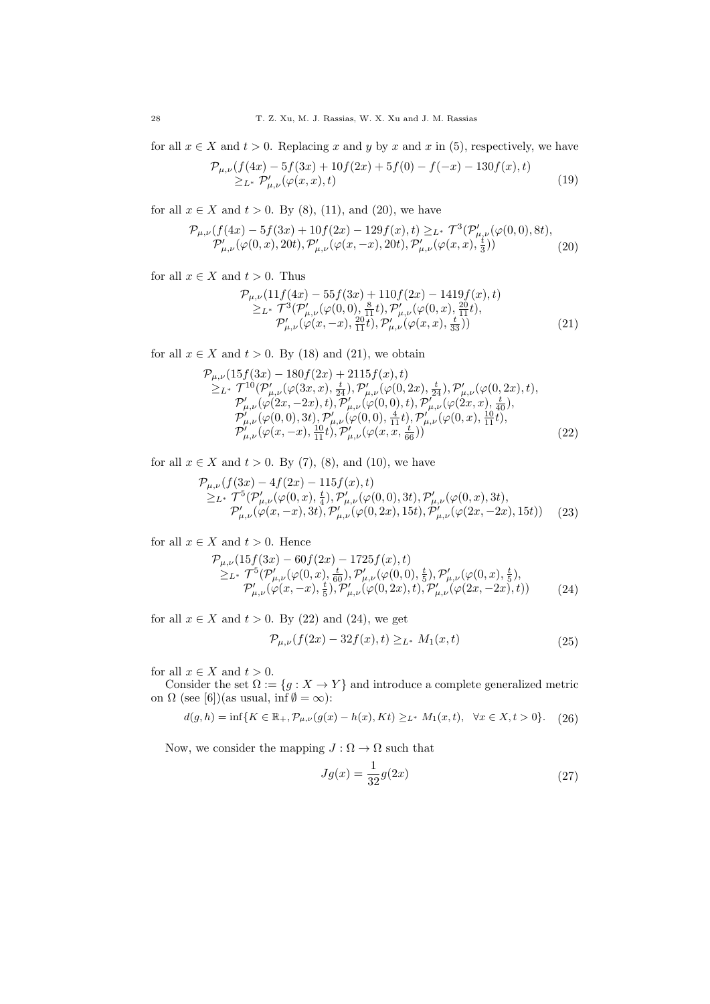for all  $x \in X$  and  $t > 0$ . Replacing x and y by x and x in (5), respectively, we have

$$
\mathcal{P}_{\mu,\nu}(f(4x) - 5f(3x) + 10f(2x) + 5f(0) - f(-x) - 130f(x), t)
$$
  
\n
$$
\geq_{L^*} \mathcal{P}'_{\mu,\nu}(\varphi(x,x), t)
$$
\n(19)

for all  $x \in X$  and  $t > 0$ . By (8), (11), and (20), we have

$$
\mathcal{P}_{\mu,\nu}(f(4x) - 5f(3x) + 10f(2x) - 129f(x), t) \geq_{L^*} \mathcal{T}^3(\mathcal{P}'_{\mu,\nu}(\varphi(0,0), 8t),
$$
  

$$
\mathcal{P}'_{\mu,\nu}(\varphi(0,x), 20t), \mathcal{P}'_{\mu,\nu}(\varphi(x,-x), 20t), \mathcal{P}'_{\mu,\nu}(\varphi(x,x), \frac{1}{3}))
$$
(20)

for all  $x \in X$  and  $t > 0$ . Thus

$$
\mathcal{P}_{\mu,\nu}(11f(4x) - 55f(3x) + 110f(2x) - 1419f(x), t) \n\geq_{L^*} \mathcal{T}^3(\mathcal{P}'_{\mu,\nu}(\varphi(0,0), \frac{8}{11}t), \mathcal{P}'_{\mu,\nu}(\varphi(0,x), \frac{20}{11}t), \n\mathcal{P}'_{\mu,\nu}(\varphi(x,-x), \frac{20}{11}t), \mathcal{P}'_{\mu,\nu}(\varphi(x,x), \frac{t}{33}))
$$
\n(21)

for all  $x \in X$  and  $t > 0$ . By (18) and (21), we obtain

$$
\mathcal{P}_{\mu,\nu}(15f(3x) - 180f(2x) + 2115f(x), t) \n\geq_{L^*} \mathcal{T}^{10}(\mathcal{P}'_{\mu,\nu}(\varphi(3x,x), \frac{t}{24}), \mathcal{P}'_{\mu,\nu}(\varphi(0,2x), \frac{t}{24}), \mathcal{P}'_{\mu,\nu}(\varphi(0,2x), t), \n\mathcal{P}'_{\mu,\nu}(\varphi(2x, -2x), t), \mathcal{P}'_{\mu,\nu}(\varphi(0,0), t), \mathcal{P}'_{\mu,\nu}(\varphi(2x,x), \frac{t}{40}), \n\mathcal{P}'_{\mu,\nu}(\varphi(0,0), 3t), \mathcal{P}'_{\mu,\nu}(\varphi(0,0), \frac{4}{11}t), \mathcal{P}'_{\mu,\nu}(\varphi(0,x), \frac{10}{11}t), \n\mathcal{P}'_{\mu,\nu}(\varphi(x,-x), \frac{10}{11}t), \mathcal{P}'_{\mu,\nu}(\varphi(x,x, \frac{t}{66}))
$$
\n(22)

for all  $x \in X$  and  $t > 0$ . By (7), (8), and (10), we have

$$
\mathcal{P}_{\mu,\nu}(f(3x) - 4f(2x) - 115f(x), t) \n\geq_{L^*} \mathcal{T}^5(\mathcal{P}'_{\mu,\nu}(\varphi(0,x), \frac{t}{4}), \mathcal{P}'_{\mu,\nu}(\varphi(0,0), 3t), \mathcal{P}'_{\mu,\nu}(\varphi(0,x), 3t), \n\mathcal{P}'_{\mu,\nu}(\varphi(x,-x), 3t), \mathcal{P}'_{\mu,\nu}(\varphi(0,2x), 15t), \mathcal{P}'_{\mu,\nu}(\varphi(2x,-2x), 15t))
$$
\n(23)

for all  $x \in X$  and  $t > 0$ . Hence

$$
\mathcal{P}_{\mu,\nu}(15f(3x) - 60f(2x) - 1725f(x), t) \n\geq_{L^*} \mathcal{T}^5(\mathcal{P}'_{\mu,\nu}(\varphi(0,x),\frac{t}{60}), \mathcal{P}'_{\mu,\nu}(\varphi(0,0),\frac{t}{5}), \mathcal{P}'_{\mu,\nu}(\varphi(0,x),\frac{t}{5}), \n\mathcal{P}'_{\mu,\nu}(\varphi(x,-x),\frac{t}{5}), \mathcal{P}'_{\mu,\nu}(\varphi(0,2x),t), \mathcal{P}'_{\mu,\nu}(\varphi(2x,-2x),t))
$$
\n(24)

for all  $x \in X$  and  $t > 0$ . By (22) and (24), we get

$$
\mathcal{P}_{\mu,\nu}(f(2x) - 32f(x),t) \geq_{L^*} M_1(x,t)
$$
\n(25)

for all  $x \in X$  and  $t > 0$ .

Consider the set  $\Omega := \{g : X \to Y\}$  and introduce a complete generalized metric on  $\Omega$  (see [6])(as usual, inf  $\emptyset = \infty$ ):

$$
d(g, h) = \inf\{K \in \mathbb{R}_+, \mathcal{P}_{\mu, \nu}(g(x) - h(x), Kt) \geq_{L^*} M_1(x, t), \ \forall x \in X, t > 0\}.
$$
 (26)

Now, we consider the mapping  $J : \Omega \to \Omega$  such that

$$
Jg(x) = \frac{1}{32}g(2x)
$$
\n(27)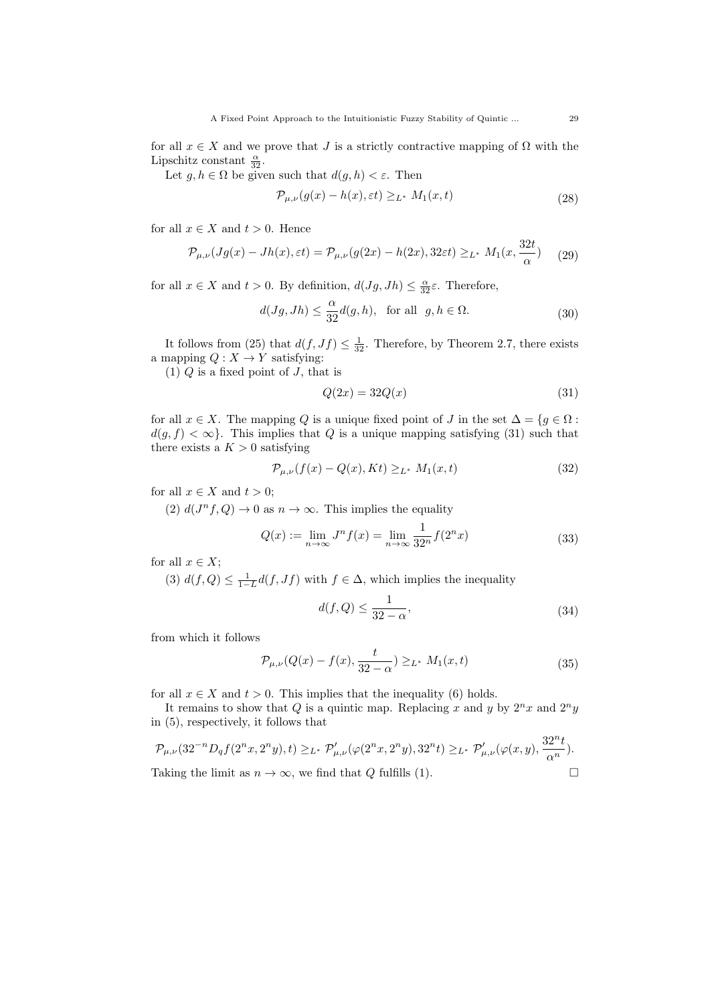for all  $x \in X$  and we prove that J is a strictly contractive mapping of  $\Omega$  with the Lipschitz constant  $\frac{\alpha}{32}$ .

Let  $g, h \in \Omega$  be given such that  $d(g, h) < \varepsilon$ . Then

$$
\mathcal{P}_{\mu,\nu}(g(x) - h(x), \varepsilon t) \geq_{L^*} M_1(x, t) \tag{28}
$$

for all  $x \in X$  and  $t > 0$ . Hence

$$
\mathcal{P}_{\mu,\nu}(Jg(x) - Jh(x),\varepsilon t) = \mathcal{P}_{\mu,\nu}(g(2x) - h(2x), 32\varepsilon t) \geq_{L^*} M_1(x, \frac{32t}{\alpha}) \tag{29}
$$

for all  $x \in X$  and  $t > 0$ . By definition,  $d(Jg, Jh) \leq \frac{\alpha}{32} \varepsilon$ . Therefore,

$$
d(Jg, Jh) \le \frac{\alpha}{32} d(g, h), \text{ for all } g, h \in \Omega.
$$
 (30)

It follows from (25) that  $d(f, Jf) \leq \frac{1}{32}$ . Therefore, by Theorem 2.7, there exists a mapping  $Q: X \to Y$  satisfying:

(1)  $Q$  is a fixed point of  $J$ , that is

$$
Q(2x) = 32Q(x) \tag{31}
$$

for all  $x \in X$ . The mapping Q is a unique fixed point of J in the set  $\Delta = \{g \in \Omega :$  $d(g, f) < \infty$ . This implies that Q is a unique mapping satisfying (31) such that there exists a  $K > 0$  satisfying

$$
\mathcal{P}_{\mu,\nu}(f(x) - Q(x), Kt) \geq_{L^*} M_1(x,t)
$$
\n(32)

for all  $x \in X$  and  $t > 0$ ;

(2)  $d(J^n f, Q) \to 0$  as  $n \to \infty$ . This implies the equality

$$
Q(x) := \lim_{n \to \infty} J^n f(x) = \lim_{n \to \infty} \frac{1}{32^n} f(2^n x)
$$
 (33)

for all  $x \in X$ ;

(3)  $d(f, Q) \leq \frac{1}{1-L}d(f, Jf)$  with  $f \in \Delta$ , which implies the inequality

$$
d(f,Q) \le \frac{1}{32 - \alpha},\tag{34}
$$

from which it follows

$$
\mathcal{P}_{\mu,\nu}(Q(x) - f(x), \frac{t}{32 - \alpha}) \geq_{L^*} M_1(x,t)
$$
\n(35)

for all  $x \in X$  and  $t > 0$ . This implies that the inequality (6) holds.

It remains to show that Q is a quintic map. Replacing x and y by  $2^n x$  and  $2^n y$ in (5), respectively, it follows that

$$
\mathcal{P}_{\mu,\nu}(32^{-n}D_qf(2^nx,2^ny),t)\geq_{L^*}\mathcal{P}'_{\mu,\nu}(\varphi(2^nx,2^ny),32^nt)\geq_{L^*}\mathcal{P}'_{\mu,\nu}(\varphi(x,y),\frac{32^nt}{\alpha^n}).
$$
  
Taking the limit as  $n\to\infty$ , we find that Q fulfills (1).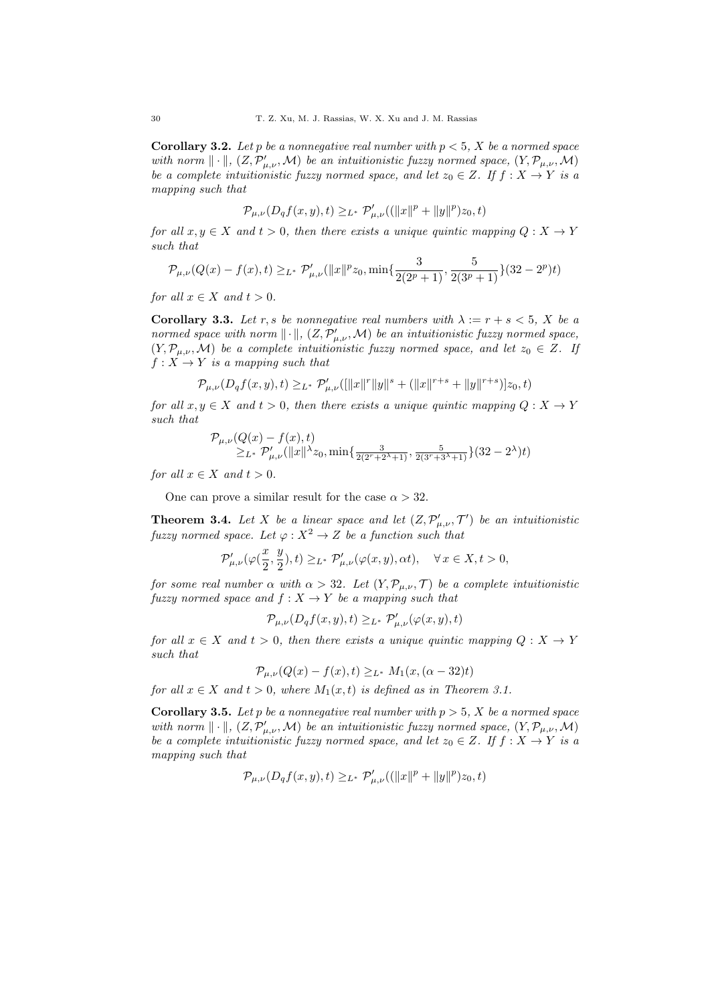**Corollary 3.2.** Let p be a nonnegative real number with  $p < 5$ , X be a normed space with norm  $\|\cdot\|$ ,  $(Z, \mathcal{P}'_{\mu,\nu}, \mathcal{M})$  be an intuitionistic fuzzy normed space,  $(Y, \mathcal{P}_{\mu,\nu}, \mathcal{M})$ be a complete intuitionistic fuzzy normed space, and let  $z_0 \in Z$ . If  $f : X \to Y$  is a mapping such that

$$
\mathcal{P}_{\mu,\nu}(D_qf(x,y),t) \geq_{L^*} \mathcal{P}'_{\mu,\nu}((\|x\|^p + \|y\|^p)z_0,t)
$$

for all  $x, y \in X$  and  $t > 0$ , then there exists a unique quintic mapping  $Q: X \to Y$ such that

$$
\mathcal{P}_{\mu,\nu}(Q(x) - f(x),t) \geq_{L^*} \mathcal{P}'_{\mu,\nu}(\|x\|^p z_0, \min\{\frac{3}{2(2^p+1)}, \frac{5}{2(3^p+1)}\}(32-2^p)t)
$$

for all  $x \in X$  and  $t > 0$ .

**Corollary 3.3.** Let r, s be nonnegative real numbers with  $\lambda := r + s < 5$ , X be a normed space with norm  $\|\cdot\|$ ,  $(Z, \mathcal{P}'_{\mu,\nu}, \mathcal{M})$  be an intuitionistic fuzzy normed space,  $(Y, \mathcal{P}_{\mu,\nu}, \mathcal{M})$  be a complete intuitionistic fuzzy normed space, and let  $z_0 \in Z$ . If  $f: X \rightarrow Y$  is a mapping such that

$$
\mathcal{P}_{\mu,\nu}(D_qf(x,y),t)\geq_{L^*}\mathcal{P}'_{\mu,\nu}([||x||^r||y||^s+ (||x||^{r+s}+||y||^{r+s})]z_0,t)
$$

for all  $x, y \in X$  and  $t > 0$ , then there exists a unique quintic mapping  $Q: X \to Y$ such that

$$
\mathcal{P}_{\mu,\nu}(Q(x)-f(x),t) = \sum_{L^*} \mathcal{P}'_{\mu,\nu}(\|x\|^{\lambda}z_0, \min\{\frac{3}{2(2^r+2^{\lambda}+1)}, \frac{5}{2(3^r+3^{\lambda}+1)}\}(32-2^{\lambda})t)
$$

for all  $x \in X$  and  $t > 0$ .

One can prove a similar result for the case  $\alpha > 32$ .

**Theorem 3.4.** Let X be a linear space and let  $(Z, \mathcal{P}'_{\mu,\nu}, \mathcal{T}')$  be an intuitionistic fuzzy normed space. Let  $\varphi: X^2 \to Z$  be a function such that

$$
\mathcal{P}'_{\mu,\nu}(\varphi(\frac{x}{2}, \frac{y}{2}),t) \geq_{L^*} \mathcal{P}'_{\mu,\nu}(\varphi(x,y),\alpha t), \quad \forall \, x \in X, t > 0,
$$

for some real number  $\alpha$  with  $\alpha > 32$ . Let  $(Y, \mathcal{P}_{\mu,\nu}, \mathcal{T})$  be a complete intuitionistic fuzzy normed space and  $f: X \to Y$  be a mapping such that

$$
\mathcal{P}_{\mu,\nu}(D_qf(x,y),t) \geq_{L^*} \mathcal{P}'_{\mu,\nu}(\varphi(x,y),t)
$$

for all  $x \in X$  and  $t > 0$ , then there exists a unique quintic mapping  $Q: X \to Y$ such that

$$
\mathcal{P}_{\mu,\nu}(Q(x) - f(x), t) \geq_{L^*} M_1(x, (\alpha - 32)t)
$$

for all  $x \in X$  and  $t > 0$ , where  $M_1(x, t)$  is defined as in Theorem 3.1.

**Corollary 3.5.** Let p be a nonnegative real number with  $p > 5$ , X be a normed space with norm  $\|\cdot\|$ ,  $(Z, \mathcal{P}'_{\mu,\nu}, \mathcal{M})$  be an intuitionistic fuzzy normed space,  $(Y, \mathcal{P}_{\mu,\nu}, \mathcal{M})$ be a complete intuitionistic fuzzy normed space, and let  $z_0 \in Z$ . If  $f : X \to Y$  is a mapping such that

$$
\mathcal{P}_{\mu,\nu}(D_qf(x,y),t) \geq_{L^*} \mathcal{P}'_{\mu,\nu}((\|x\|^p + \|y\|^p)z_0,t)
$$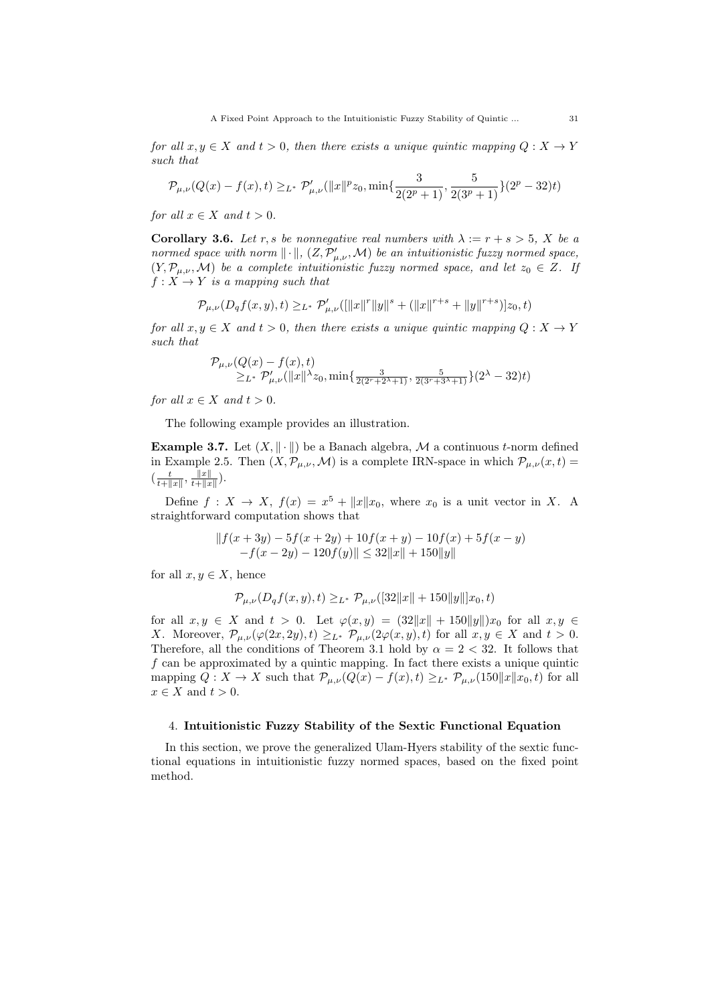for all  $x, y \in X$  and  $t > 0$ , then there exists a unique quintic mapping  $Q: X \to Y$ such that

$$
\mathcal{P}_{\mu,\nu}(Q(x) - f(x),t) \geq_{L^*} \mathcal{P}'_{\mu,\nu}(\|x\|^p z_0, \min\{\frac{3}{2(2^p+1)}, \frac{5}{2(3^p+1)}\}(2^p-32)t)
$$

for all  $x \in X$  and  $t > 0$ .

**Corollary 3.6.** Let r, s be nonnegative real numbers with  $\lambda := r + s > 5$ , X be a normed space with norm  $\|\cdot\|$ ,  $(Z, \mathcal{P}'_{\mu,\nu}, \mathcal{M})$  be an intuitionistic fuzzy normed space,  $(Y, \mathcal{P}_{\mu,\nu}, \mathcal{M})$  be a complete intuitionistic fuzzy normed space, and let  $z_0 \in Z$ . If  $f: X \to Y$  is a mapping such that

$$
\mathcal{P}_{\mu,\nu}(D_qf(x,y),t) \geq_{L^*} \mathcal{P}'_{\mu,\nu}(\|x\|^r \|y\|^s + (\|x\|^{r+s} + \|y\|^{r+s})]z_0,t)
$$

for all  $x, y \in X$  and  $t > 0$ , then there exists a unique quintic mapping  $Q: X \to Y$ such that

$$
\mathcal{P}_{\mu,\nu}(Q(x) - f(x),t) \ge \text{L* } \mathcal{P}'_{\mu,\nu}(\|x\|^{\lambda}z_0, \min\{\frac{3}{2(2^r+2^{\lambda}+1)}, \frac{5}{2(3^r+3^{\lambda}+1)}\}(2^{\lambda} - 32)t)
$$

for all  $x \in X$  and  $t > 0$ .

The following example provides an illustration.

**Example 3.7.** Let  $(X, \|\cdot\|)$  be a Banach algebra, M a continuous t-norm defined in Example 2.5. Then  $(X, \mathcal{P}_{\mu,\nu}, \mathcal{M})$  is a complete IRN-space in which  $\mathcal{P}_{\mu,\nu}(x,t)$  =  $\left(\frac{t}{t+\|x\|}, \frac{\|x\|}{t+\|x\|}\right)$  $\frac{\|x\|}{t+\|x\|}$ ).

Define  $f: X \to X$ ,  $f(x) = x^5 + ||x||x_0$ , where  $x_0$  is a unit vector in X. A straightforward computation shows that

$$
|| f(x+3y) - 5f(x+2y) + 10f(x+y) - 10f(x) + 5f(x-y) -f(x-2y) - 120f(y)|| \leq 32||x|| + 150||y||
$$

for all  $x, y \in X$ , hence

$$
\mathcal{P}_{\mu,\nu}(D_qf(x,y),t) \geq_{L^*} \mathcal{P}_{\mu,\nu}([32||x||+150||y||]x_0,t)
$$

for all  $x, y \in X$  and  $t > 0$ . Let  $\varphi(x, y) = (32||x|| + 150||y||)x_0$  for all  $x, y \in X$ X. Moreover,  $\mathcal{P}_{\mu,\nu}(\varphi(2x,2y),t) \geq_{L^*} \mathcal{P}_{\mu,\nu}(2\varphi(x,y),t)$  for all  $x,y \in X$  and  $t > 0$ . Therefore, all the conditions of Theorem 3.1 hold by  $\alpha = 2 < 32$ . It follows that  $f$  can be approximated by a quintic mapping. In fact there exists a unique quintic mapping  $Q: X \to X$  such that  $\mathcal{P}_{\mu,\nu}(Q(x) - f(x), t) \geq_{L^*} \mathcal{P}_{\mu,\nu}(150||x||x_0, t)$  for all  $x \in X$  and  $t > 0$ .

#### 4. Intuitionistic Fuzzy Stability of the Sextic Functional Equation

In this section, we prove the generalized Ulam-Hyers stability of the sextic functional equations in intuitionistic fuzzy normed spaces, based on the fixed point method.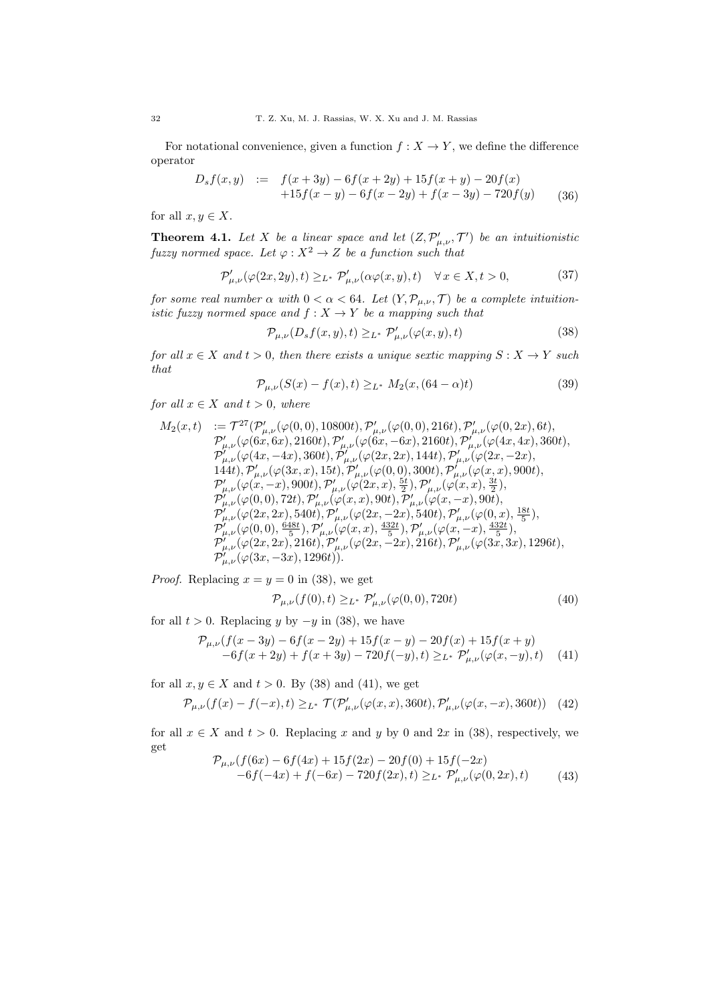For notational convenience, given a function  $f : X \to Y$ , we define the difference operator

$$
D_s f(x, y) := f(x+3y) - 6f(x+2y) + 15f(x+y) - 20f(x)
$$
  
+15f(x - y) - 6f(x - 2y) + f(x - 3y) - 720f(y) (36)

for all  $x, y \in X$ .

**Theorem 4.1.** Let X be a linear space and let  $(Z, \mathcal{P}'_{\mu,\nu}, \mathcal{T}')$  be an intuitionistic fuzzy normed space. Let  $\varphi: X^2 \to Z$  be a function such that

$$
\mathcal{P}'_{\mu,\nu}(\varphi(2x,2y),t) \geq_{L^*} \mathcal{P}'_{\mu,\nu}(\alpha\varphi(x,y),t) \quad \forall x \in X, t > 0,
$$
\n
$$
(37)
$$

for some real number  $\alpha$  with  $0 < \alpha < 64$ . Let  $(Y, \mathcal{P}_{\mu,\nu}, \mathcal{T})$  be a complete intuitionistic fuzzy normed space and  $f: X \to Y$  be a mapping such that

$$
\mathcal{P}_{\mu,\nu}(D_s f(x,y),t) \geq_{L^*} \mathcal{P}'_{\mu,\nu}(\varphi(x,y),t) \tag{38}
$$

for all  $x \in X$  and  $t > 0$ , then there exists a unique sextic mapping  $S: X \to Y$  such that

$$
\mathcal{P}_{\mu,\nu}(S(x) - f(x), t) \geq_{L^*} M_2(x, (64 - \alpha)t)
$$
\n(39)

for all  $x \in X$  and  $t > 0$ , where

$$
\begin{array}{ll} M_2(x,t) &:=\mathcal{T}^{27}(\mathcal{P}'_{\mu,\nu}(\varphi(0,0),10800t),\mathcal{P}'_{\mu,\nu}(\varphi(0,0),216t),\mathcal{P}'_{\mu,\nu}(\varphi(0,2x),6t),\\ \mathcal{P}'_{\mu,\nu}(\varphi(6x,6x),2160t),\mathcal{P}'_{\mu,\nu}(\varphi(6x,-6x),2160t),\mathcal{P}'_{\mu,\nu}(\varphi(4x,4x),360t),\\ \mathcal{P}'_{\mu,\nu}(\varphi(4x,-4x),360t),\mathcal{P}'_{\mu,\nu}(\varphi(2x,2x),144t),\mathcal{P}'_{\mu,\nu}(\varphi(2x,-2x),\\ 144t),\mathcal{P}'_{\mu,\nu}(\varphi(3x,x),15t),\mathcal{P}'_{\mu,\nu}(\varphi(0,0),300t),\mathcal{P}'_{\mu,\nu}(\varphi(x,x),900t),\\ \mathcal{P}'_{\mu,\nu}(\varphi(x,-x),900t),\mathcal{P}'_{\mu,\nu}(\varphi(2x,x),\frac{5t}{2}),\mathcal{P}'_{\mu,\nu}(\varphi(x,x),\frac{3t}{2}),\\ \mathcal{P}'_{\mu,\nu}(\varphi(0,0),72t),\mathcal{P}'_{\mu,\nu}(\varphi(x,x),90t),\mathcal{P}'_{\mu,\nu}(\varphi(x,-x),90t),\\ \mathcal{P}'_{\mu,\nu}(\varphi(2x,2x),540t),\mathcal{P}'_{\mu,\nu}(\varphi(2x,-2x),540t),\mathcal{P}'_{\mu,\nu}(\varphi(0,x),\frac{18t}{5}),\\ \mathcal{P}'_{\mu,\nu}(\varphi(0,0),\frac{648t}{5}),\mathcal{P}'_{\mu,\nu}(\varphi(x,x),\frac{432t}{5}),\mathcal{P}'_{\mu,\nu}(\varphi(x,-x),\frac{432t}{5}),\\ \mathcal{P}'_{\mu,\nu}(\varphi(2x,2x),216t),\mathcal{P}'_{\mu,\nu}(\varphi(2x,-2x),216t),\mathcal{P}'_{\mu,\nu}(\varphi(3x,3x),1296t),\\ \mathcal{P}'_{\mu,\nu}(\varphi(
$$

*Proof.* Replacing  $x = y = 0$  in (38), we get

$$
\mathcal{P}_{\mu,\nu}(f(0),t) \geq_{L^*} \mathcal{P}'_{\mu,\nu}(\varphi(0,0),720t) \tag{40}
$$

for all  $t > 0$ . Replacing y by  $-y$  in (38), we have

$$
\mathcal{P}_{\mu,\nu}(f(x-3y)-6f(x-2y)+15f(x-y)-20f(x)+15f(x+y)-6f(x+2y)+f(x+3y)-720f(-y),t)\geq_{L^*}\mathcal{P}'_{\mu,\nu}(\varphi(x,-y),t)
$$
(41)

for all  $x, y \in X$  and  $t > 0$ . By (38) and (41), we get

$$
\mathcal{P}_{\mu,\nu}(f(x) - f(-x),t) \geq_{L^*} \mathcal{T}(\mathcal{P}'_{\mu,\nu}(\varphi(x,x),360t),\mathcal{P}'_{\mu,\nu}(\varphi(x,-x),360t)) \tag{42}
$$

for all  $x \in X$  and  $t > 0$ . Replacing x and y by 0 and 2x in (38), respectively, we get  $\frac{f(f(x)) - f(f(x)) + 15f(x)}{20f(0) + 15f(0)}$ 

$$
\mathcal{P}_{\mu,\nu}(f(6x) - 6f(4x) + 15f(2x) - 20f(0) + 15f(-2x) \n-6f(-4x) + f(-6x) - 720f(2x), t) \geq_{L^*} \mathcal{P}'_{\mu,\nu}(\varphi(0,2x), t)
$$
\n(43)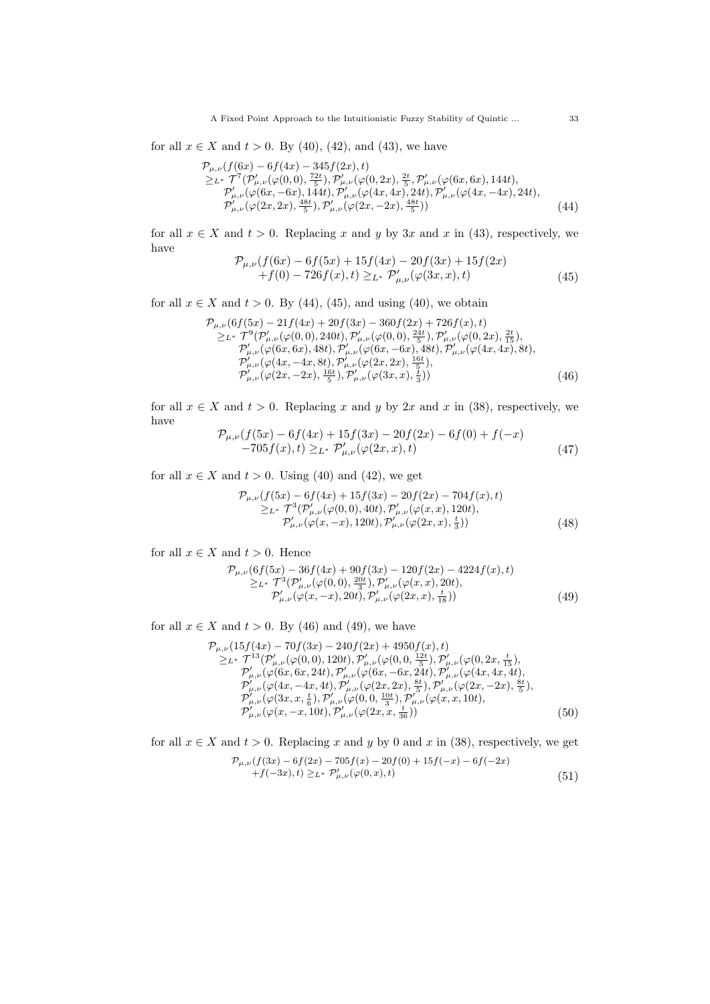A Fixed Point Approach to the Intuitionistic Fuzzy Stability of Quintic ... 33

for all  $x \in X$  and  $t > 0$ . By (40), (42), and (43), we have

$$
\mathcal{P}_{\mu,\nu}(f(6x) - 6f(4x) - 345f(2x), t) \n\geq_{L^*} \mathcal{T}^7(\mathcal{P}'_{\mu,\nu}(\varphi(0,0), \frac{72t}{5}), \mathcal{P}'_{\mu,\nu}(\varphi(0,2x), \frac{2t}{5}, \mathcal{P}'_{\mu,\nu}(\varphi(6x,6x), 144t), \n\mathcal{P}'_{\mu,\nu}(\varphi(6x, -6x), 144t), \mathcal{P}'_{\mu,\nu}(\varphi(4x, 4x), 24t), \mathcal{P}'_{\mu,\nu}(\varphi(4x, -4x), 24t), \n\mathcal{P}'_{\mu,\nu}(\varphi(2x, 2x), \frac{48t}{5}), \mathcal{P}'_{\mu,\nu}(\varphi(2x, -2x), \frac{48t}{5}))
$$
\n(44)

for all  $x \in X$  and  $t > 0$ . Replacing x and y by 3x and x in (43), respectively, we have

$$
\mathcal{P}_{\mu,\nu}(f(6x) - 6f(5x) + 15f(4x) - 20f(3x) + 15f(2x) \n+ f(0) - 726f(x), t) \geq_{L^*} \mathcal{P}'_{\mu,\nu}(\varphi(3x, x), t)
$$
\n(45)

for all  $x \in X$  and  $t > 0$ . By (44), (45), and using (40), we obtain

$$
\mathcal{P}_{\mu,\nu}(6f(5x) - 21f(4x) + 20f(3x) - 360f(2x) + 726f(x),t)
$$
\n
$$
\geq L^* \mathcal{T}^9(\mathcal{P}'_{\mu,\nu}(\varphi(0,0), 240t), \mathcal{P}'_{\mu,\nu}(\varphi(0,0), \frac{24t}{5}), \mathcal{P}'_{\mu,\nu}(\varphi(0,2x), \frac{2t}{15}),
$$
\n
$$
\mathcal{P}'_{\mu,\nu}(\varphi(6x, 6x), 48t), \mathcal{P}'_{\mu,\nu}(\varphi(6x, -6x), 48t), \mathcal{P}'_{\mu,\nu}(\varphi(4x, 4x), 8t),
$$
\n
$$
\mathcal{P}'_{\mu,\nu}(\varphi(4x, -4x, 8t), \mathcal{P}'_{\mu,\nu}(\varphi(2x, 2x), \frac{16t}{5}),
$$
\n
$$
\mathcal{P}'_{\mu,\nu}(\varphi(2x, -2x), \frac{16t}{5}), \mathcal{P}'_{\mu,\nu}(\varphi(3x, x), \frac{1}{3}))
$$
\n(46)

for all  $x \in X$  and  $t > 0$ . Replacing x and y by 2x and x in (38), respectively, we have

$$
\mathcal{P}_{\mu,\nu}(f(5x) - 6f(4x) + 15f(3x) - 20f(2x) - 6f(0) + f(-x)) \n-705f(x), t) \geq_{L^*} \mathcal{P}'_{\mu,\nu}(\varphi(2x, x), t)
$$
\n(47)

for all  $x \in X$  and  $t > 0$ . Using (40) and (42), we get

$$
\mathcal{P}_{\mu,\nu}(f(5x) - 6f(4x) + 15f(3x) - 20f(2x) - 704f(x), t) \n\geq_{L^*} \mathcal{T}^3(\mathcal{P}'_{\mu,\nu}(\varphi(0,0), 40t), \mathcal{P}'_{\mu,\nu}(\varphi(x,x), 120t), \n\mathcal{P}'_{\mu,\nu}(\varphi(x,-x), 120t), \mathcal{P}'_{\mu,\nu}(\varphi(2x,x), \frac{t}{3}))
$$
\n(48)

for all  $x \in X$  and  $t > 0$ . Hence

$$
\mathcal{P}_{\mu,\nu}(6f(5x) - 36f(4x) + 90f(3x) - 120f(2x) - 4224f(x), t) \n\geq L^* \mathcal{T}^3(\mathcal{P}'_{\mu,\nu}(\varphi(0,0), \frac{20t}{3}), \mathcal{P}'_{\mu,\nu}(\varphi(x,x), 20t), \n\mathcal{P}'_{\mu,\nu}(\varphi(x,-x), 20t), \mathcal{P}'_{\mu,\nu}(\varphi(2x,x), \frac{1}{18}))
$$
\n(49)

for all  $x \in X$  and  $t > 0$ . By (46) and (49), we have

$$
\mathcal{P}_{\mu,\nu}(15f(4x) - 70f(3x) - 240f(2x) + 4950f(x), t)
$$
\n
$$
\geq_{L^*} \mathcal{T}^{13}(\mathcal{P}'_{\mu,\nu}(\varphi(0,0), 120t), \mathcal{P}'_{\mu,\nu}(\varphi(0,0, \frac{12t}{5}), \mathcal{P}'_{\mu,\nu}(\varphi(0,2x, \frac{t}{15}), \mathcal{P}'_{\mu,\nu}(\varphi(6x, 6x, 24t), \mathcal{P}'_{\mu,\nu}(\varphi(6x, -6x, 24t), \mathcal{P}'_{\mu,\nu}(\varphi(4x, 4x, 4t), \mathcal{P}'_{\mu,\nu}(\varphi(4x, -4x, 4t), \mathcal{P}'_{\mu,\nu}(\varphi(2x, 2x), \frac{8t}{5}), \mathcal{P}'_{\mu,\nu}(\varphi(2x, -2x), \frac{8t}{5}), \mathcal{P}'_{\mu,\nu}(\varphi(3x, x, \frac{t}{6}), \mathcal{P}'_{\mu,\nu}(\varphi(0, 0, \frac{10t}{3}), \mathcal{P}'_{\mu,\nu}(\varphi(x, x, 10t), \mathcal{P}'_{\mu,\nu}(\varphi(x, -x, 10t), \mathcal{P}'_{\mu,\nu}(\varphi(2x, x, \frac{t}{36}))
$$
\n(50)

for all  $x \in X$  and  $t > 0$ . Replacing x and y by 0 and x in (38), respectively, we get

$$
\mathcal{P}_{\mu,\nu}(f(3x) - 6f(2x) - 705f(x) - 20f(0) + 15f(-x) - 6f(-2x) \n+ f(-3x), t) \geq_{L^*} \mathcal{P}'_{\mu,\nu}(\varphi(0,x), t)
$$
\n(51)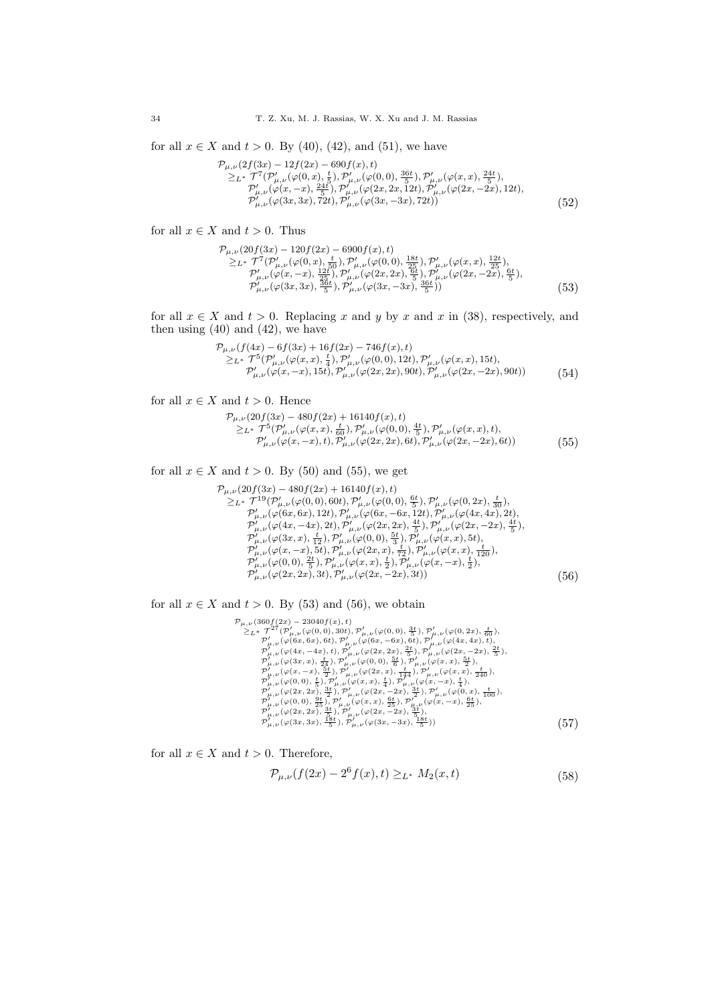for all  $x \in X$  and  $t > 0$ . By (40), (42), and (51), we have

$$
\mathcal{P}_{\mu,\nu}(2f(3x) - 12f(2x) - 690f(x), t) \n\geq_{L^*} \mathcal{T}^7(\mathcal{P}'_{\mu,\nu}(\varphi(0,x), \frac{t}{5}), \mathcal{P}'_{\mu,\nu}(\varphi(0,0), \frac{36t}{5}), \mathcal{P}'_{\mu,\nu}(\varphi(x,x), \frac{24t}{5}), \n\mathcal{P}'_{\mu,\nu}(\varphi(x,-x), \frac{24t}{5}), \mathcal{P}'_{\mu,\nu}(\varphi(2x,2x,12t), \mathcal{P}'_{\mu,\nu}(\varphi(2x,-2x), 12t), \n\mathcal{P}'_{\mu,\nu}(\varphi(3x,3x), 72t), \mathcal{P}'_{\mu,\nu}(\varphi(3x,-3x), 72t))
$$
\n(52)

for all  $x \in X$  and  $t > 0$ . Thus

$$
\mathcal{P}_{\mu,\nu}(20f(3x) - 120f(2x) - 6900f(x),t) \n\geq_{L^*} \mathcal{T}^7(\mathcal{P}'_{\mu,\nu}(\varphi(0,x),\frac{t}{50}),\mathcal{P}'_{\mu,\nu}(\varphi(0,0),\frac{12t}{25}),\mathcal{P}'_{\mu,\nu}(\varphi(x,x),\frac{12t}{25}),\n\mathcal{P}'_{\mu,\nu}(\varphi(x,-x),\frac{12t}{25}),\mathcal{P}'_{\mu,\nu}(\varphi(2x,2x),\frac{6t}{5}),\mathcal{P}'_{\mu,\nu}(\varphi(2x,-2x),\frac{6t}{5}),\n\mathcal{P}'_{\mu,\nu}(\varphi(3x,3x),\frac{36t}{5}),\mathcal{P}'_{\mu,\nu}(\varphi(3x,-3x),\frac{36t}{5}))
$$
\n(53)

for all  $x \in X$  and  $t > 0$ . Replacing x and y by x and x in (38), respectively, and then using  $(40)$  and  $(42)$ , we have

$$
\mathcal{P}_{\mu,\nu}(f(4x) - 6f(3x) + 16f(2x) - 746f(x), t) \n\geq_{L^*} \mathcal{T}^5(\mathcal{P}'_{\mu,\nu}(\varphi(x,x), \frac{t}{4}), \mathcal{P}'_{\mu,\nu}(\varphi(0,0), 12t), \mathcal{P}'_{\mu,\nu}(\varphi(x,x), 15t), \n\mathcal{P}'_{\mu,\nu}(\varphi(x,-x), 15t), \mathcal{P}'_{\mu,\nu}(\varphi(2x,2x), 90t), \mathcal{P}'_{\mu,\nu}(\varphi(2x,-2x), 90t))
$$
\n(54)

for all  $x \in X$  and  $t > 0$ . Hence

 $\mathcal{P}_{\mu,\nu}(20f(3x) - 480f(2x) + 16140f(x), t)$  $\geq_{L^*}\mathcal{T}^5(\mathcal{P}_{\mu,\nu}^{\prime}(\varphi(x,x),\tfrac{t}{60}),\mathcal{P}_{\mu,\nu}^{\prime}(\varphi(0,0),\tfrac{4t}{5}),\mathcal{P}_{\mu,\nu}^{\prime}(\varphi(x,x),t),$  $\mathcal{P}'_{\mu,\nu}(\varphi(x,-x),t), \widetilde{\mathcal{P}}'_{\mu,\nu}(\varphi(2x,2x),6t), \mathcal{P}'_{\mu,\nu}(\varphi(2x,-2x),6t))$  (55)

for all  $x \in X$  and  $t > 0$ . By (50) and (55), we get

$$
\mathcal{P}_{\mu,\nu}(20f(3x) - 480f(2x) + 16140f(x), t) \n\geq_{L^*} \mathcal{T}^{19}(\mathcal{P}'_{\mu,\nu}(\varphi(0,0), 60t), \mathcal{P}'_{\mu,\nu}(\varphi(0,0), \frac{6t}{5}), \mathcal{P}'_{\mu,\nu}(\varphi(0,2x), \frac{t}{30}), \n\mathcal{P}'_{\mu,\nu}(\varphi(6x, 6x), 12t), \mathcal{P}'_{\mu,\nu}(\varphi(6x, -6x, 12t), \mathcal{P}'_{\mu,\nu}(\varphi(4x, 4x), 2t), \n\mathcal{P}'_{\mu,\nu}(\varphi(4x, -4x), 2t), \mathcal{P}'_{\mu,\nu}(\varphi(2x, 2x), \frac{4t}{5}), \mathcal{P}'_{\mu,\nu}(\varphi(2x, -2x), \frac{4t}{5}), \n\mathcal{P}'_{\mu,\nu}(\varphi(3x, x), \frac{t}{12}), \mathcal{P}'_{\mu,\nu}(\varphi(0,0), \frac{5t}{3}), \mathcal{P}'_{\mu,\nu}(\varphi(x, x), 5t), \n\mathcal{P}'_{\mu,\nu}(\varphi(x, -x), 5t), \mathcal{P}'_{\mu,\nu}(\varphi(2x, x), \frac{t}{72}), \mathcal{P}'_{\mu,\nu}(\varphi(x, x), \frac{t}{120}), \n\mathcal{P}'_{\mu,\nu}(\varphi(0,0), \frac{2t}{5}), \mathcal{P}'_{\mu,\nu}(\varphi(x, x), \frac{t}{2}), \mathcal{P}'_{\mu,\nu}(\varphi(x, -x), \frac{t}{2}), \n\mathcal{P}'_{\mu,\nu}(\varphi(2x, 2x), 3t), \mathcal{P}'_{\mu,\nu}(\varphi(2x, -2x), 3t))
$$
\n(56)

for all  $x \in X$  and  $t > 0$ . By (53) and (56), we obtain

 $\begin{array}{ll} \mathcal{P}_{\mu,\nu}(360f(2x)-23040f(x),t) \\ \geq_L \star\; T^2(\mathcal{P}'_{\mu,\nu}(\varphi(0,0),36t),\mathcal{P}'_{\mu,\nu}(\varphi(0,2x),\frac{1}{60}),\\ \mathcal{P}'_{\mu,\nu}(\varphi(6x,6x),6t),\mathcal{P}'_{\mu,\nu}(\varphi(6x,-6x),6t),\mathcal{P}'_{\mu,\nu}(\varphi(4x,4x),t),\\ \mathcal{P}'_{\mu,\nu}(\varphi(6x,6x),6t),\mathcal{P}'_{\mu,\nu}(\varphi(6x$ 

for all  $x \in X$  and  $t > 0$ . Therefore,

$$
\mathcal{P}_{\mu,\nu}(f(2x) - 2^6 f(x), t) \geq_{L^*} M_2(x, t)
$$
\n(58)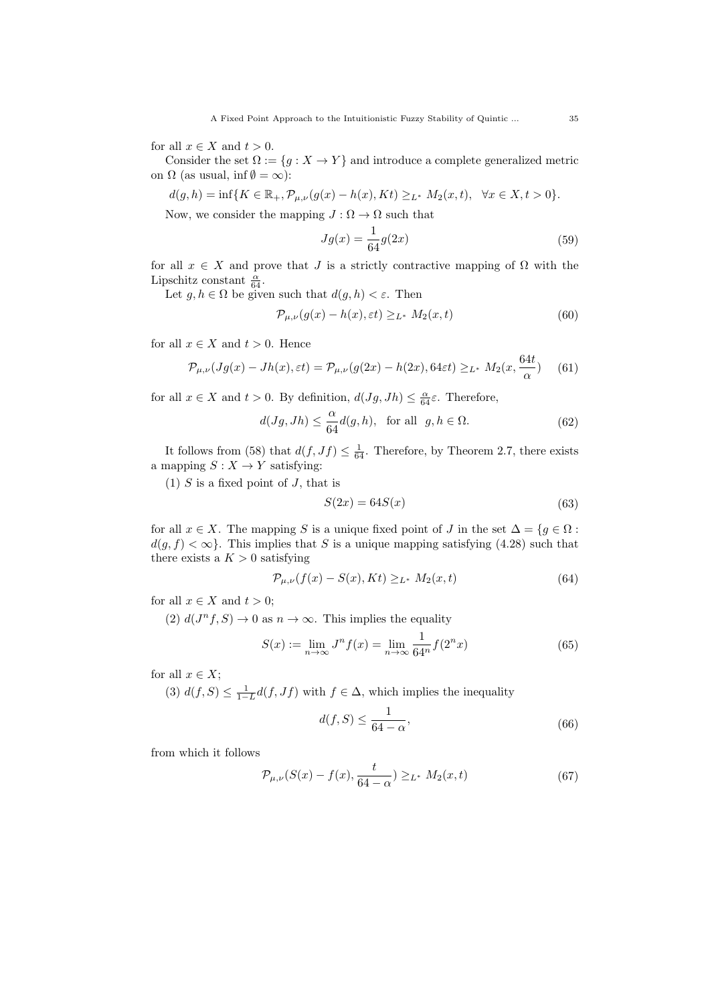for all  $x \in X$  and  $t > 0$ .

Consider the set  $\Omega := \{g : X \to Y\}$  and introduce a complete generalized metric on  $\Omega$  (as usual, inf  $\emptyset = \infty$ ):

$$
d(g, h) = \inf\{K \in \mathbb{R}_+, \mathcal{P}_{\mu, \nu}(g(x) - h(x), Kt) \geq_{L^*} M_2(x, t), \ \forall x \in X, t > 0\}.
$$

Now, we consider the mapping  $J : \Omega \to \Omega$  such that

$$
Jg(x) = \frac{1}{64}g(2x)
$$
\n(59)

for all  $x \in X$  and prove that J is a strictly contractive mapping of  $\Omega$  with the Lipschitz constant  $\frac{\alpha}{64}$ .

Let  $g, h \in \Omega$  be given such that  $d(g, h) < \varepsilon$ . Then

$$
\mathcal{P}_{\mu,\nu}(g(x) - h(x), \varepsilon t) \geq_{L^*} M_2(x, t) \tag{60}
$$

for all  $x \in X$  and  $t > 0$ . Hence

$$
\mathcal{P}_{\mu,\nu}(Jg(x) - Jh(x),\varepsilon t) = \mathcal{P}_{\mu,\nu}(g(2x) - h(2x), 64\varepsilon t) \geq_{L^*} M_2(x, \frac{64t}{\alpha}) \tag{61}
$$

for all  $x \in X$  and  $t > 0$ . By definition,  $d(Jg, Jh) \leq \frac{\alpha}{64} \varepsilon$ . Therefore,

$$
d(Jg, Jh) \le \frac{\alpha}{64} d(g, h), \text{ for all } g, h \in \Omega.
$$
 (62)

It follows from (58) that  $d(f, Jf) \leq \frac{1}{64}$ . Therefore, by Theorem 2.7, there exists a mapping  $S: X \to Y$  satisfying:

(1)  $S$  is a fixed point of  $J$ , that is

$$
S(2x) = 64S(x) \tag{63}
$$

for all  $x \in X$ . The mapping S is a unique fixed point of J in the set  $\Delta = \{g \in \Omega :$  $d(g, f) < \infty$ . This implies that S is a unique mapping satisfying (4.28) such that there exists a  $K > 0$  satisfying

$$
\mathcal{P}_{\mu,\nu}(f(x) - S(x), Kt) \geq_{L^*} M_2(x,t)
$$
\n(64)

for all  $x \in X$  and  $t > 0$ ;

(2)  $d(J^n f, S) \to 0$  as  $n \to \infty$ . This implies the equality

$$
S(x) := \lim_{n \to \infty} J^n f(x) = \lim_{n \to \infty} \frac{1}{64^n} f(2^n x)
$$
 (65)

for all  $x \in X$ ;

(3)  $d(f, S) \leq \frac{1}{1-L}d(f, Jf)$  with  $f \in \Delta$ , which implies the inequality

$$
d(f, S) \le \frac{1}{64 - \alpha},\tag{66}
$$

from which it follows

$$
\mathcal{P}_{\mu,\nu}(S(x) - f(x), \frac{t}{64 - \alpha}) \geq_{L^*} M_2(x, t)
$$
\n(67)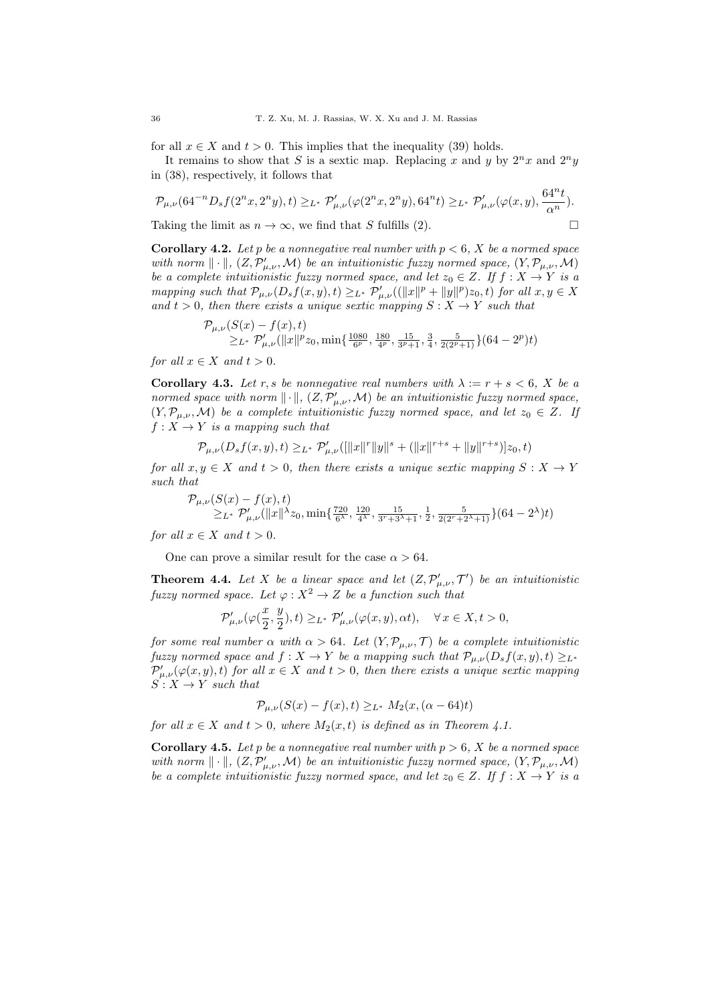for all  $x \in X$  and  $t > 0$ . This implies that the inequality (39) holds.

It remains to show that S is a sextic map. Replacing x and y by  $2^n x$  and  $2^n y$ in (38), respectively, it follows that

$$
\mathcal{P}_{\mu,\nu}(64^{-n}D_sf(2^nx,2^ny),t)\ge_{L^*}\mathcal{P}'_{\mu,\nu}(\varphi(2^nx,2^ny),64^nt)\ge_{L^*}\mathcal{P}'_{\mu,\nu}(\varphi(x,y),\frac{64^nt}{\alpha^n}).
$$

Taking the limit as  $n \to \infty$ , we find that S fulfills (2).

**Corollary 4.2.** Let p be a nonnegative real number with  $p < 6$ , X be a normed space with norm  $\|\cdot\|$ ,  $(Z, \mathcal{P}'_{\mu,\nu}, \mathcal{M})$  be an intuitionistic fuzzy normed space,  $(Y, \mathcal{P}_{\mu,\nu}, \mathcal{M})$ be a complete intuitionistic fuzzy normed space, and let  $z_0 \in Z$ . If  $f : X \to Y$  is a mapping such that  $\mathcal{P}_{\mu,\nu}(D_s f(x,y),t) \geq_{L^*} \mathcal{P}'_{\mu,\nu}((\|x\|^p + \|y\|^p)z_0,t)$  for all  $x, y \in X$ and  $t > 0$ , then there exists a unique sextic mapping  $S: X \rightarrow Y$  such that

$$
\mathcal{P}_{\mu,\nu}(S(x)-f(x),t) \geq L^* \mathcal{P}'_{\mu,\nu}(\|x\|^p z_0,\min\{\tfrac{1080}{6^p},\tfrac{180}{4^p},\tfrac{15}{3^p+1},\tfrac{3}{4},\tfrac{5}{2(2^p+1)}\}(64-2^p)t)
$$

for all  $x \in X$  and  $t > 0$ .

**Corollary 4.3.** Let r, s be nonnegative real numbers with  $\lambda := r + s < 6$ , X be a normed space with norm  $\|\cdot\|$ ,  $(Z, \mathcal{P}'_{\mu,\nu}, \mathcal{M})$  be an intuitionistic fuzzy normed space,  $(Y, \mathcal{P}_{\mu,\nu}, \mathcal{M})$  be a complete intuitionistic fuzzy normed space, and let  $z_0 \in Z$ . If  $f: X \to Y$  is a mapping such that

$$
\mathcal{P}_{\mu,\nu}(D_sf(x,y),t)\geq_{L^*}\mathcal{P}'_{\mu,\nu}(\| |x\|^r\|y\|^s+(\|x\|^{r+s}+\|y\|^{r+s})]z_0,t)
$$

for all  $x, y \in X$  and  $t > 0$ , then there exists a unique sextic mapping  $S: X \to Y$ such that

$$
\begin{array}{l} \mathcal{P}_{\mu,\nu}(S(x)-f(x),t) \\ \geq_{L^*}\mathcal{P}'_{\mu,\nu}(\|x\|^{\lambda}z_0,\min\{\frac{720}{6^\lambda},\frac{120}{4^\lambda},\frac{15}{3^r+3^\lambda+1},\frac{1}{2},\frac{5}{2(2^r+2^\lambda+1)}\}(64-2^\lambda)t) \end{array}
$$

for all  $x \in X$  and  $t > 0$ .

One can prove a similar result for the case  $\alpha > 64$ .

**Theorem 4.4.** Let X be a linear space and let  $(Z, \mathcal{P}'_{\mu,\nu}, \mathcal{T}')$  be an intuitionistic fuzzy normed space. Let  $\varphi: X^2 \to Z$  be a function such that

$$
\mathcal{P}'_{\mu,\nu}(\varphi(\frac{x}{2}, \frac{y}{2}),t) \geq_{L^*} \mathcal{P}'_{\mu,\nu}(\varphi(x,y),\alpha t), \quad \forall \, x \in X, t > 0,
$$

for some real number  $\alpha$  with  $\alpha > 64$ . Let  $(Y, \mathcal{P}_{\mu,\nu}, \mathcal{T})$  be a complete intuitionistic fuzzy normed space and  $f: X \to Y$  be a mapping such that  $\mathcal{P}_{\mu,\nu}(D_s f(x,y), t) \geq_{L^*}$  $\mathcal{P}'_{\mu,\nu}(\varphi(x,y),t)$  for all  $x \in X$  and  $t > 0$ , then there exists a unique sextic mapping  $S: X \to Y$  such that

$$
\mathcal{P}_{\mu,\nu}(S(x) - f(x), t) \geq_{L^*} M_2(x, (\alpha - 64)t)
$$

for all  $x \in X$  and  $t > 0$ , where  $M_2(x, t)$  is defined as in Theorem 4.1.

**Corollary 4.5.** Let p be a nonnegative real number with  $p > 6$ , X be a normed space with norm  $\|\cdot\|$ ,  $(Z, \mathcal{P}'_{\mu,\nu}, \mathcal{M})$  be an intuitionistic fuzzy normed space,  $(Y, \mathcal{P}_{\mu,\nu}, \mathcal{M})$ be a complete intuitionistic fuzzy normed space, and let  $z_0 \in Z$ . If  $f : X \to Y$  is a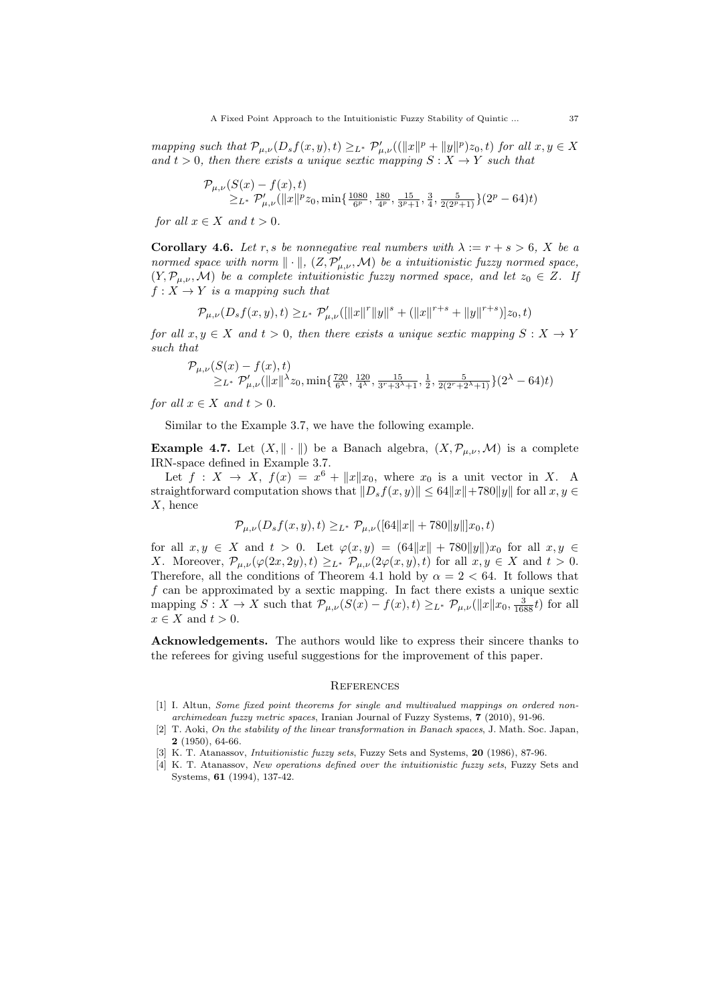mapping such that  $\mathcal{P}_{\mu,\nu}(D_s f(x,y),t) \geq_{L^*} \mathcal{P}'_{\mu,\nu}((\|x\|^p + \|y\|^p)z_0,t)$  for all  $x, y \in X$ and  $t > 0$ , then there exists a unique sextic mapping  $S: X \rightarrow Y$  such that

$$
\mathcal{P}_{\mu,\nu}(S(x) - f(x),t) = \sum_{L^*} \mathcal{P}'_{\mu,\nu}(\|x\|^p z_0, \min\{\frac{1080}{6^p}, \frac{180}{4^p}, \frac{15}{3^p+1}, \frac{3}{4}, \frac{5}{2(2^p+1)}\}(2^p-64)t)
$$

for all  $x \in X$  and  $t > 0$ .

**Corollary 4.6.** Let r, s be nonnegative real numbers with  $\lambda := r + s > 6$ . X be a normed space with norm  $\|\cdot\|$ ,  $(Z, \mathcal{P}'_{\mu,\nu}, \mathcal{M})$  be a intuitionistic fuzzy normed space,  $(Y, \mathcal{P}_{\mu,\nu}, \mathcal{M})$  be a complete intuitionistic fuzzy normed space, and let  $z_0 \in Z$ . If  $f: X \to Y$  is a mapping such that

$$
\mathcal{P}_{\mu,\nu}(D_sf(x,y),t)\geq_{L^*}\mathcal{P}'_{\mu,\nu}(\| |x\|^r\|y\|^s+(\|x\|^{r+s}+\|y\|^{r+s})]z_0,t)
$$

for all  $x, y \in X$  and  $t > 0$ , then there exists a unique sextic mapping  $S: X \to Y$ such that

$$
\mathcal{P}_{\mu,\nu}(S(x) - f(x),t) \geq L^* \mathcal{P}'_{\mu,\nu}(\|x\|^{\lambda}z_0, \min\{\frac{720}{6^{\lambda}}, \frac{120}{4^{\lambda}}, \frac{15}{3^{\nu}+3^{\lambda}+1}, \frac{1}{2}, \frac{5}{2(2^{\nu}+2^{\lambda}+1)}\}(2^{\lambda} - 64)t)
$$

for all  $x \in X$  and  $t > 0$ .

Similar to the Example 3.7, we have the following example.

**Example 4.7.** Let  $(X, \|\cdot\|)$  be a Banach algebra,  $(X, \mathcal{P}_{\mu,\nu}, \mathcal{M})$  is a complete IRN-space defined in Example 3.7.

Let  $f: X \to X$ ,  $f(x) = x^6 + ||x||x_0$ , where  $x_0$  is a unit vector in X. A straightforward computation shows that  $||D_s f(x, y)|| \leq 64||x|| + 780||y||$  for all  $x, y \in$  $X$ , hence

$$
\mathcal{P}_{\mu,\nu}(D_s f(x,y),t) \geq_{L^*} \mathcal{P}_{\mu,\nu}([64||x||+780||y||]x_0,t)
$$

for all  $x, y \in X$  and  $t > 0$ . Let  $\varphi(x, y) = (64||x|| + 780||y||)x_0$  for all  $x, y \in X$ X. Moreover,  $\mathcal{P}_{\mu,\nu}(\varphi(2x,2y),t) \geq_{L^*} \mathcal{P}_{\mu,\nu}(2\varphi(x,y),t)$  for all  $x,y \in X$  and  $t > 0$ . Therefore, all the conditions of Theorem 4.1 hold by  $\alpha = 2 < 64$ . It follows that  $f$  can be approximated by a sextic mapping. In fact there exists a unique sextic mapping  $S: X \to X$  such that  $\mathcal{P}_{\mu,\nu}(S(x) - f(x), t) \geq_{L^*} \mathcal{P}_{\mu,\nu}(\Vert x \Vert x_0, \frac{3}{1688}t)$  for all  $x \in X$  and  $t > 0$ .

Acknowledgements. The authors would like to express their sincere thanks to the referees for giving useful suggestions for the improvement of this paper.

#### **REFERENCES**

- [1] I. Altun, Some fixed point theorems for single and multivalued mappings on ordered nonarchimedean fuzzy metric spaces, Iranian Journal of Fuzzy Systems, 7 (2010), 91-96.
- [2] T. Aoki, On the stability of the linear transformation in Banach spaces, J. Math. Soc. Japan, 2 (1950), 64-66.
- [3] K. T. Atanassov, *Intuitionistic fuzzy sets*, Fuzzy Sets and Systems, **20** (1986), 87-96.
- [4] K. T. Atanassov, New operations defined over the intuitionistic fuzzy sets, Fuzzy Sets and Systems, 61 (1994), 137-42.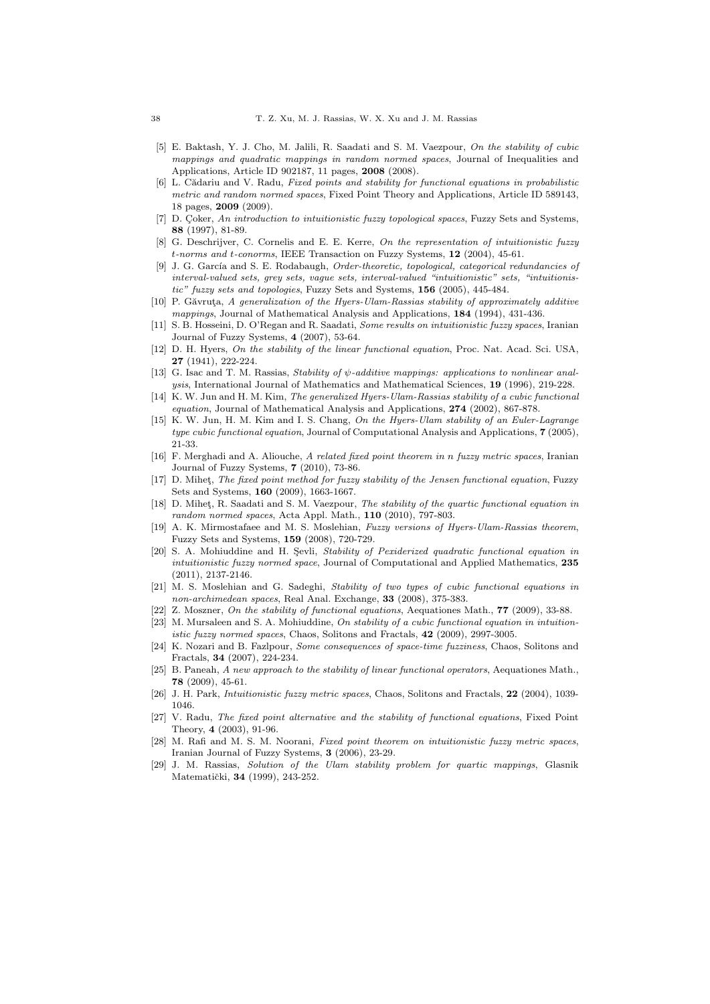- [5] E. Baktash, Y. J. Cho, M. Jalili, R. Saadati and S. M. Vaezpour, On the stability of cubic mappings and quadratic mappings in random normed spaces, Journal of Inequalities and Applications, Article ID 902187, 11 pages, 2008 (2008).
- [6] L. Cădariu and V. Radu, Fixed points and stability for functional equations in probabilistic metric and random normed spaces, Fixed Point Theory and Applications, Article ID 589143, 18 pages, 2009 (2009).
- [7] D. Coker, An introduction to intuitionistic fuzzy topological spaces, Fuzzy Sets and Systems, 88 (1997), 81-89.
- [8] G. Deschrijver, C. Cornelis and E. E. Kerre, On the representation of intuitionistic fuzzy t-norms and t-conorms, IEEE Transaction on Fuzzy Systems, 12 (2004), 45-61.
- [9] J. G. García and S. E. Rodabaugh, Order-theoretic, topological, categorical redundancies of interval-valued sets, grey sets, vague sets, interval-valued "intuitionistic" sets, "intuitionistic" fuzzy sets and topologies, Fuzzy Sets and Systems, 156 (2005), 445-484.
- $[10]$  P. Găvruta, A generalization of the Hyers-Ulam-Rassias stability of approximately additive mappings, Journal of Mathematical Analysis and Applications, 184 (1994), 431-436.
- [11] S. B. Hosseini, D. O'Regan and R. Saadati, Some results on intuitionistic fuzzy spaces, Iranian Journal of Fuzzy Systems, 4 (2007), 53-64.
- [12] D. H. Hyers, On the stability of the linear functional equation, Proc. Nat. Acad. Sci. USA, 27 (1941), 222-224.
- [13] G. Isac and T. M. Rassias, Stability of  $\psi$ -additive mappings: applications to nonlinear analysis, International Journal of Mathematics and Mathematical Sciences, 19 (1996), 219-228.
- [14] K. W. Jun and H. M. Kim, The generalized Hyers-Ulam-Rassias stability of a cubic functional equation, Journal of Mathematical Analysis and Applications, 274 (2002), 867-878.
- [15] K. W. Jun, H. M. Kim and I. S. Chang, On the Hyers-Ulam stability of an Euler-Lagrange type cubic functional equation, Journal of Computational Analysis and Applications, 7 (2005), 21-33.
- [16] F. Merghadi and A. Aliouche, A related fixed point theorem in n fuzzy metric spaces, Iranian Journal of Fuzzy Systems, 7 (2010), 73-86.
- [17] D. Mihet, The fixed point method for fuzzy stability of the Jensen functional equation, Fuzzy Sets and Systems, 160 (2009), 1663-1667.
- [18] D. Mihet, R. Saadati and S. M. Vaezpour, The stability of the quartic functional equation in random normed spaces, Acta Appl. Math., 110 (2010), 797-803.
- [19] A. K. Mirmostafaee and M. S. Moslehian, Fuzzy versions of Hyers-Ulam-Rassias theorem, Fuzzy Sets and Systems, 159 (2008), 720-729.
- [20] S. A. Mohiuddine and H. Sevli, Stability of Pexiderized quadratic functional equation in intuitionistic fuzzy normed space, Journal of Computational and Applied Mathematics, 235 (2011), 2137-2146.
- [21] M. S. Moslehian and G. Sadeghi, Stability of two types of cubic functional equations in non-archimedean spaces, Real Anal. Exchange, 33 (2008), 375-383.
- [22] Z. Moszner, On the stability of functional equations, Aequationes Math., 77 (2009), 33-88.
- [23] M. Mursaleen and S. A. Mohiuddine, On stability of a cubic functional equation in intuitionistic fuzzy normed spaces, Chaos, Solitons and Fractals, 42 (2009), 2997-3005.
- [24] K. Nozari and B. Fazlpour, Some consequences of space-time fuzziness, Chaos, Solitons and Fractals, 34 (2007), 224-234.
- [25] B. Paneah, A new approach to the stability of linear functional operators, Aequationes Math., 78 (2009), 45-61.
- [26] J. H. Park, *Intuitionistic fuzzy metric spaces*, Chaos, Solitons and Fractals, 22 (2004), 1039-1046.
- [27] V. Radu, The fixed point alternative and the stability of functional equations, Fixed Point Theory, 4 (2003), 91-96.
- [28] M. Rafi and M. S. M. Noorani, Fixed point theorem on intuitionistic fuzzy metric spaces, Iranian Journal of Fuzzy Systems, 3 (2006), 23-29.
- [29] J. M. Rassias, Solution of the Ulam stability problem for quartic mappings, Glasnik Matematički, 34 (1999), 243-252.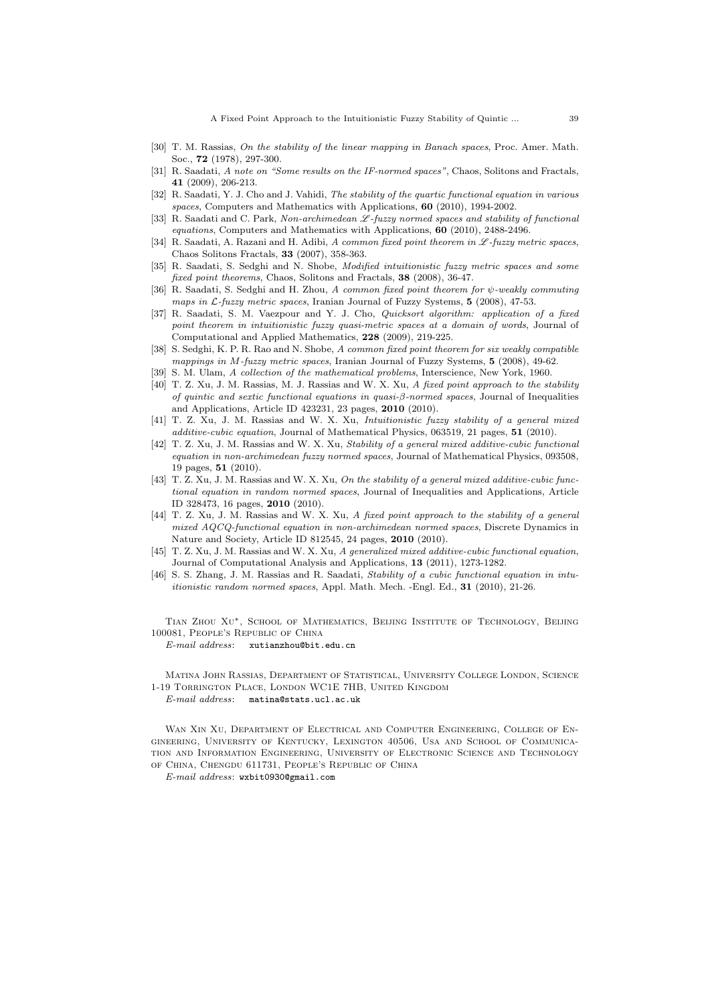A Fixed Point Approach to the Intuitionistic Fuzzy Stability of Quintic ... 39

- [30] T. M. Rassias, On the stability of the linear mapping in Banach spaces, Proc. Amer. Math. Soc., 72 (1978), 297-300.
- [31] R. Saadati, A note on "Some results on the IF-normed spaces", Chaos, Solitons and Fractals, 41 (2009), 206-213.
- [32] R. Saadati, Y. J. Cho and J. Vahidi, The stability of the quartic functional equation in various spaces, Computers and Mathematics with Applications, 60 (2010), 1994-2002.
- [33] R. Saadati and C. Park, Non-archimedean  $\mathscr{L}$ -fuzzy normed spaces and stability of functional equations, Computers and Mathematics with Applications, 60 (2010), 2488-2496.
- [34] R. Saadati, A. Razani and H. Adibi, A common fixed point theorem in  $\mathscr{L}$ -fuzzy metric spaces, Chaos Solitons Fractals, 33 (2007), 358-363.
- [35] R. Saadati, S. Sedghi and N. Shobe, *Modified intuitionistic fuzzy metric spaces and some* fixed point theorems, Chaos, Solitons and Fractals, 38 (2008), 36-47.
- [36] R. Saadati, S. Sedghi and H. Zhou, A common fixed point theorem for  $\psi$ -weakly commuting maps in  $\mathcal{L}$ -fuzzy metric spaces, Iranian Journal of Fuzzy Systems, 5 (2008), 47-53.
- [37] R. Saadati, S. M. Vaezpour and Y. J. Cho, Quicksort algorithm: application of a fixed point theorem in intuitionistic fuzzy quasi-metric spaces at a domain of words, Journal of Computational and Applied Mathematics, 228 (2009), 219-225.
- [38] S. Sedghi, K. P. R. Rao and N. Shobe, A common fixed point theorem for six weakly compatible mappings in M-fuzzy metric spaces, Iranian Journal of Fuzzy Systems, 5 (2008), 49-62.
- [39] S. M. Ulam, A collection of the mathematical problems, Interscience, New York, 1960.
- [40] T. Z. Xu, J. M. Rassias, M. J. Rassias and W. X. Xu, A fixed point approach to the stability of quintic and sextic functional equations in quasi- $\beta$ -normed spaces, Journal of Inequalities and Applications, Article ID 423231, 23 pages, 2010 (2010).
- [41] T. Z. Xu, J. M. Rassias and W. X. Xu, Intuitionistic fuzzy stability of a general mixed additive-cubic equation, Journal of Mathematical Physics, 063519, 21 pages, 51 (2010).
- [42] T. Z. Xu, J. M. Rassias and W. X. Xu, Stability of a general mixed additive-cubic functional equation in non-archimedean fuzzy normed spaces, Journal of Mathematical Physics, 093508, 19 pages, 51 (2010).
- [43] T. Z. Xu, J. M. Rassias and W. X. Xu, On the stability of a general mixed additive-cubic functional equation in random normed spaces, Journal of Inequalities and Applications, Article ID 328473, 16 pages, 2010 (2010).
- [44] T. Z. Xu, J. M. Rassias and W. X. Xu, A fixed point approach to the stability of a general mixed AQCQ-functional equation in non-archimedean normed spaces, Discrete Dynamics in Nature and Society, Article ID 812545, 24 pages, 2010 (2010).
- [45] T. Z. Xu, J. M. Rassias and W. X. Xu, A generalized mixed additive-cubic functional equation, Journal of Computational Analysis and Applications, 13 (2011), 1273-1282.
- [46] S. S. Zhang, J. M. Rassias and R. Saadati, Stability of a cubic functional equation in intuitionistic random normed spaces, Appl. Math. Mech. -Engl. Ed., 31 (2010), 21-26.

Tian Zhou Xu∗, School of Mathematics, Beijing Institute of Technology, Beijing 100081, People's Republic of China

E-mail address: xutianzhou@bit.edu.cn

Matina John Rassias, Department of Statistical, University College London, Science 1-19 Torrington Place, London WC1E 7HB, United Kingdom

E-mail address: matina@stats.ucl.ac.uk

Wan Xin Xu, Department of Electrical and Computer Engineering, College of Engineering, University of Kentucky, Lexington 40506, Usa and School of Communication and Information Engineering, University of Electronic Science and Technology of China, Chengdu 611731, People's Republic of China

E-mail address: wxbit0930@gmail.com